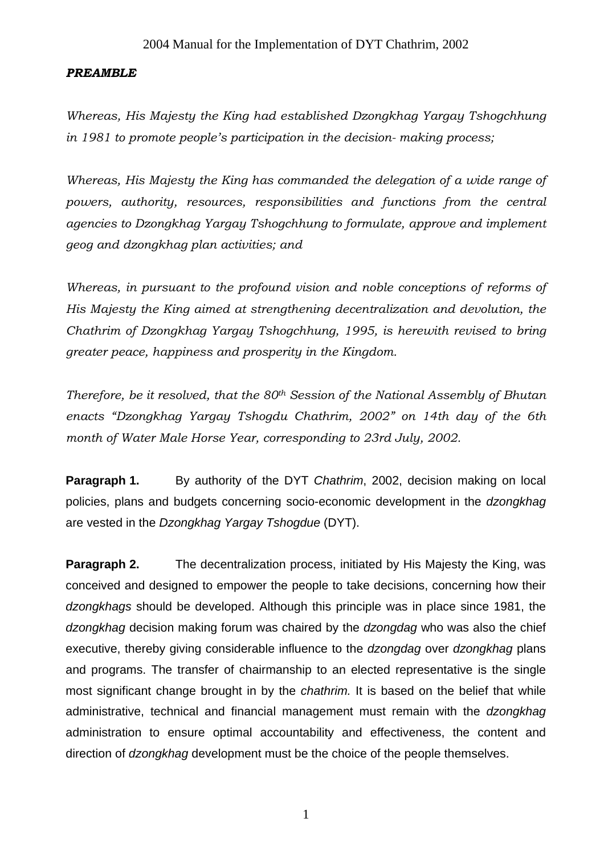#### *PREAMBLE*

*Whereas, His Majesty the King had established Dzongkhag Yargay Tshogchhung in 1981 to promote people's participation in the decision- making process;* 

*Whereas, His Majesty the King has commanded the delegation of a wide range of powers, authority, resources, responsibilities and functions from the central agencies to Dzongkhag Yargay Tshogchhung to formulate, approve and implement geog and dzongkhag plan activities; and* 

*Whereas, in pursuant to the profound vision and noble conceptions of reforms of His Majesty the King aimed at strengthening decentralization and devolution, the Chathrim of Dzongkhag Yargay Tshogchhung, 1995, is herewith revised to bring greater peace, happiness and prosperity in the Kingdom.*

*Therefore, be it resolved, that the 80th Session of the National Assembly of Bhutan enacts "Dzongkhag Yargay Tshogdu Chathrim, 2002" on 14th day of the 6th* month of Water Male Horse Year, corresponding to 23rd July, 2002.

**Paragraph 1.** By authority of the DYT *Chathrim*, 2002, decision making on local policies, plans and budgets concerning socio-economic development in the *dzongkhag*  are vested in the *Dzongkhag Yargay Tshogdue* (DYT).

**Paragraph 2.** The decentralization process, initiated by His Majesty the King, was conceived and designed to empower the people to take decisions, concerning how their *dzongkhags* should be developed. Although this principle was in place since 1981, the *dzongkhag* decision making forum was chaired by the *dzongdag* who was also the chief executive, thereby giving considerable influence to the *dzongdag* over *dzongkhag* plans and programs. The transfer of chairmanship to an elected representative is the single most significant change brought in by the *chathrim.* It is based on the belief that while administrative, technical and financial management must remain with the *dzongkhag* administration to ensure optimal accountability and effectiveness, the content and direction of *dzongkhag* development must be the choice of the people themselves.

1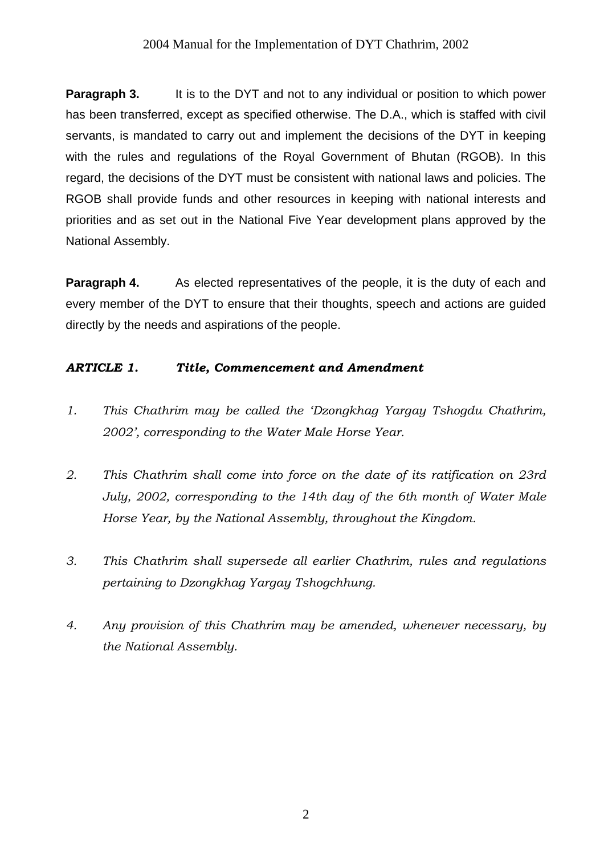**Paragraph 3.** It is to the DYT and not to any individual or position to which power has been transferred, except as specified otherwise. The D.A., which is staffed with civil servants, is mandated to carry out and implement the decisions of the DYT in keeping with the rules and regulations of the Royal Government of Bhutan (RGOB). In this regard, the decisions of the DYT must be consistent with national laws and policies. The RGOB shall provide funds and other resources in keeping with national interests and priorities and as set out in the National Five Year development plans approved by the National Assembly.

**Paragraph 4.** As elected representatives of the people, it is the duty of each and every member of the DYT to ensure that their thoughts, speech and actions are guided directly by the needs and aspirations of the people.

## *ARTICLE 1. Title, Commencement and Amendment*

- *1. This Chathrim may be called the 'Dzongkhag Yargay Tshogdu Chathrim, 2002', corresponding to the Water Male Horse Year.*
- *2. This Chathrim shall come into force on the date of its ratification on 23rd July, 2002, corresponding to the 14th day of the 6th month of Water Male Horse Year, by the National Assembly, throughout the Kingdom.*
- *3. This Chathrim shall supersede all earlier Chathrim, rules and regulations pertaining to Dzongkhag Yargay Tshogchhung.*
- *4. Any provision of this Chathrim may be amended, whenever necessary, by the National Assembly.*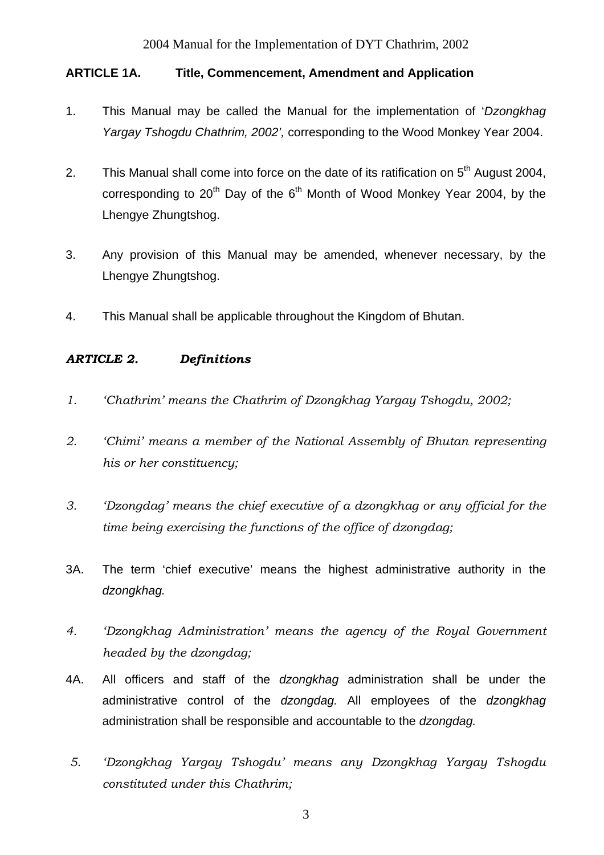## **ARTICLE 1A. Title, Commencement, Amendment and Application**

- 1. This Manual may be called the Manual for the implementation of '*Dzongkhag Yargay Tshogdu Chathrim, 2002',* corresponding to the Wood Monkey Year 2004.
- 2. This Manual shall come into force on the date of its ratification on 5<sup>th</sup> August 2004, corresponding to  $20<sup>th</sup>$  Day of the  $6<sup>th</sup>$  Month of Wood Monkey Year 2004, by the Lhengye Zhungtshog.
- 3. Any provision of this Manual may be amended, whenever necessary, by the Lhengye Zhungtshog.
- 4. This Manual shall be applicable throughout the Kingdom of Bhutan.

## *ARTICLE 2. Definitions*

- *1. 'Chathrim' means the Chathrim of Dzongkhag Yargay Tshogdu, 2002;*
- *2. 'Chimi' means a member of the National Assembly of Bhutan representing his or her constituency;*
- *3. 'Dzongdag' means the chief executive of a dzongkhag or any official for the time being exercising the functions of the office of dzongdag;*
- 3A. The term 'chief executive' means the highest administrative authority in the *dzongkhag.*
- *4. 'Dzongkhag Administration' means the agency of the Royal Government headed by the dzongdag;*
- 4A. All officers and staff of the *dzongkhag* administration shall be under the administrative control of the *dzongdag.* All employees of the *dzongkhag*  administration shall be responsible and accountable to the *dzongdag.*
- *5. 'Dzongkhag Yargay Tshogdu' means any Dzongkhag Yargay Tshogdu constituted under this Chathrim;*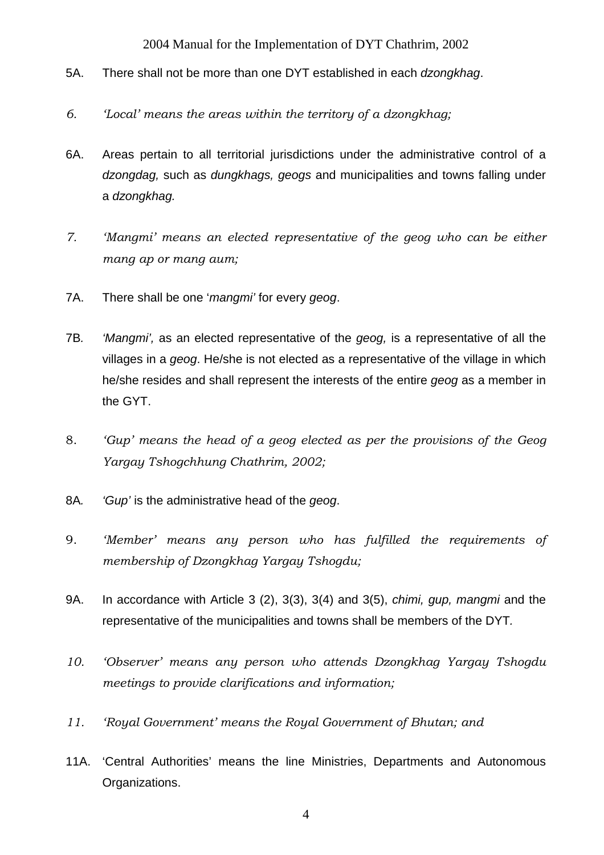- 5A. There shall not be more than one DYT established in each *dzongkhag*.
- *6. 'Local' means the areas within the territory of a dzongkhag;*
- 6A. Areas pertain to all territorial jurisdictions under the administrative control of a *dzongdag,* such as *dungkhags, geogs* and municipalities and towns falling under a *dzongkhag.*
- *7. 'Mangmi' means an elected representative of the geog who can be either mang ap or mang aum;*
- 7A. There shall be one '*mangmi'* for every *geog*.
- 7B*. 'Mangmi',* as an elected representative of the *geog,* is a representative of all the villages in a *geog*. He/she is not elected as a representative of the village in which he/she resides and shall represent the interests of the entire *geog* as a member in the GYT.
- 8. *'Gup' means the head of a geog elected as per the provisions of the Geog Yargay Tshogchhung Chathrim, 2002;*
- 8A*. 'Gup'* is the administrative head of the *geog*.
- 9. *'Member' means any person who has fulfilled the requirements of membership of Dzongkhag Yargay Tshogdu;*
- 9A. In accordance with Article 3 (2), 3(3), 3(4) and 3(5), *chimi, gup, mangmi* and the representative of the municipalities and towns shall be members of the DYT*.*
- *10. 'Observer' means any person who attends Dzongkhag Yargay Tshogdu meetings to provide clarifications and information;*
- *11. 'Royal Government' means the Royal Government of Bhutan; and*
- 11A. 'Central Authorities' means the line Ministries, Departments and Autonomous Organizations.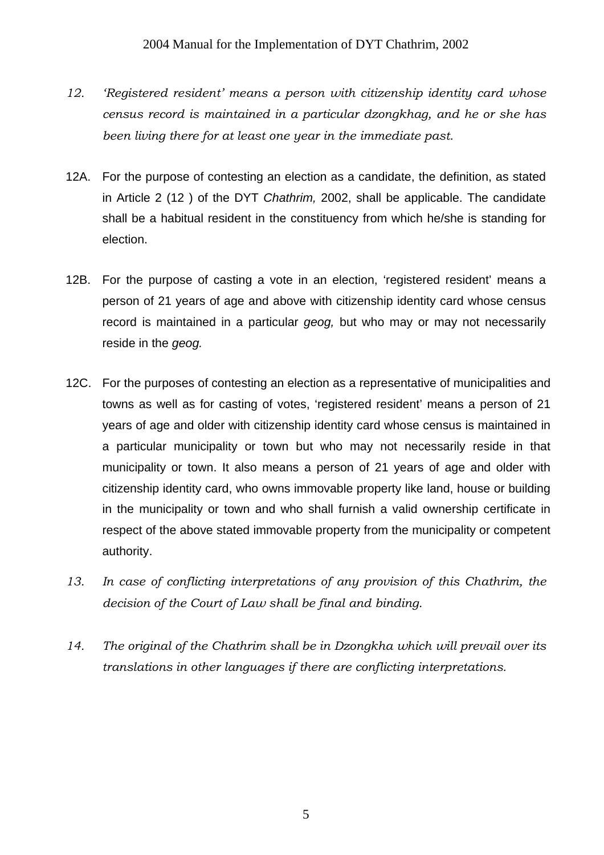- *12. 'Registered resident' means a person with citizenship identity card whose census record is maintained in a particular dzongkhag, and he or she has been living there for at least one year in the immediate past.*
- 12A. For the purpose of contesting an election as a candidate, the definition, as stated in Article 2 (12 ) of the DYT *Chathrim,* 2002, shall be applicable. The candidate shall be a habitual resident in the constituency from which he/she is standing for election.
- 12B. For the purpose of casting a vote in an election, 'registered resident' means a person of 21 years of age and above with citizenship identity card whose census record is maintained in a particular *geog,* but who may or may not necessarily reside in the *geog.*
- 12C. For the purposes of contesting an election as a representative of municipalities and towns as well as for casting of votes, 'registered resident' means a person of 21 years of age and older with citizenship identity card whose census is maintained in a particular municipality or town but who may not necessarily reside in that municipality or town. It also means a person of 21 years of age and older with citizenship identity card, who owns immovable property like land, house or building in the municipality or town and who shall furnish a valid ownership certificate in respect of the above stated immovable property from the municipality or competent authority.
- *13. In case of conflicting interpretations of any provision of this Chathrim, the decision of the Court of Law shall be final and binding.*
- *14. The original of the Chathrim shall be in Dzongkha which will prevail over its translations in other languages if there are conflicting interpretations.*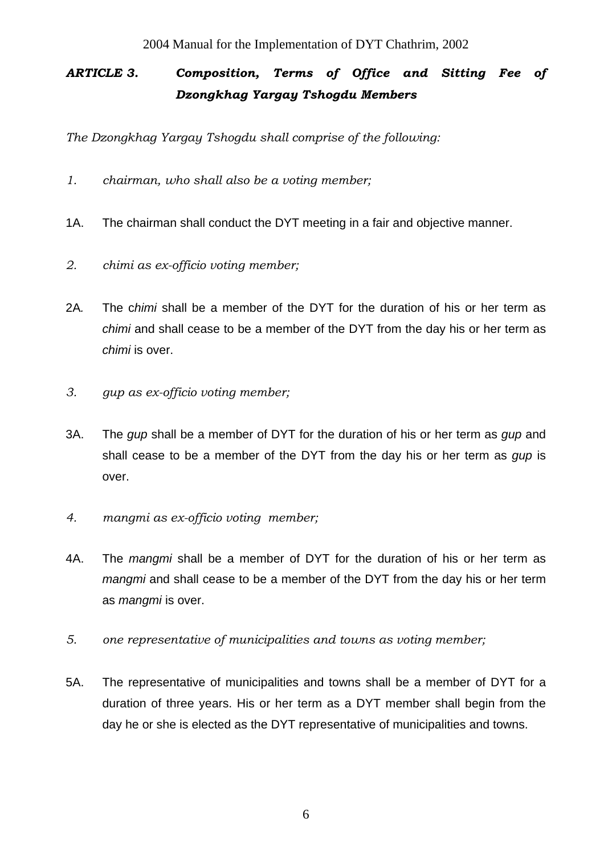# *ARTICLE 3. Composition, Terms of Office and Sitting Fee of Dzongkhag Yargay Tshogdu Members*

*The Dzongkhag Yargay Tshogdu shall comprise of the following:* 

- *1. chairman, who shall also be a voting member;*
- 1A. The chairman shall conduct the DYT meeting in a fair and objective manner.
- *2. chimi as ex-officio voting member;*
- 2A*.* The c*himi* shall be a member of the DYT for the duration of his or her term as *chimi* and shall cease to be a member of the DYT from the day his or her term as *chimi* is over.
- *3. gup as ex-officio voting member;*
- 3A.The *gup* shall be a member of DYT for the duration of his or her term as *gup* and shall cease to be a member of the DYT from the day his or her term as *gup* is over.
- *4. mangmi as ex-officio voting member;*
- 4A. The *mangmi* shall be a member of DYT for the duration of his or her term as *mangmi* and shall cease to be a member of the DYT from the day his or her term as *mangmi* is over.
- *5. one representative of municipalities and towns as voting member;*
- 5A. The representative of municipalities and towns shall be a member of DYT for a duration of three years. His or her term as a DYT member shall begin from the day he or she is elected as the DYT representative of municipalities and towns.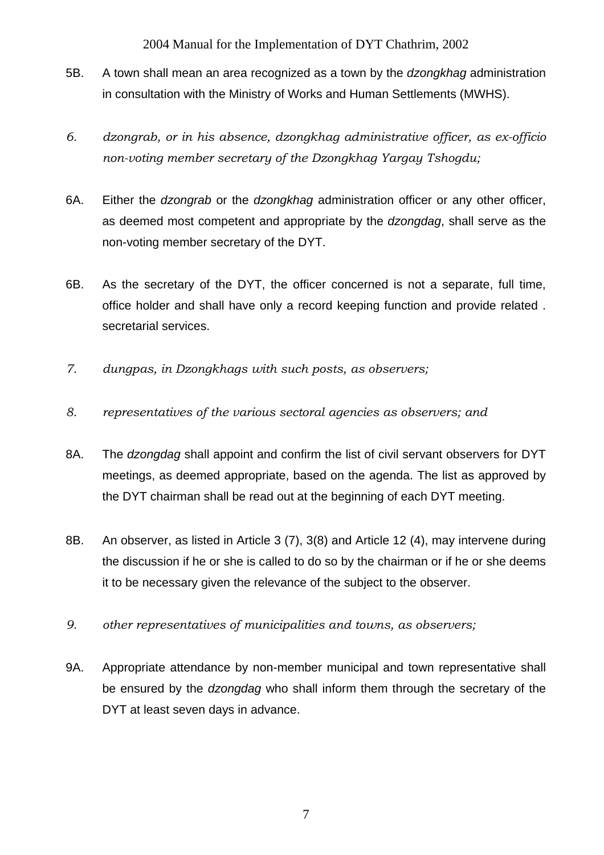- 5B. A town shall mean an area recognized as a town by the *dzongkhag* administration in consultation with the Ministry of Works and Human Settlements (MWHS).
- *6. dzongrab, or in his absence, dzongkhag administrative officer, as ex-officio non-voting member secretary of the Dzongkhag Yargay Tshogdu;*
- 6A. Either the *dzongrab* or the *dzongkhag* administration officer or any other officer, as deemed most competent and appropriate by the *dzongdag*, shall serve as the non-voting member secretary of the DYT.
- 6B. As the secretary of the DYT, the officer concerned is not a separate, full time, office holder and shall have only a record keeping function and provide related . secretarial services.
- *7. dungpas, in Dzongkhags with such posts, as observers;*
- *8. representatives of the various sectoral agencies as observers; and*
- 8A. The *dzongdag* shall appoint and confirm the list of civil servant observers for DYT meetings, as deemed appropriate, based on the agenda. The list as approved by the DYT chairman shall be read out at the beginning of each DYT meeting.
- 8B. An observer, as listed in Article 3 (7), 3(8) and Article 12 (4), may intervene during the discussion if he or she is called to do so by the chairman or if he or she deems it to be necessary given the relevance of the subject to the observer.
- *9. other representatives of municipalities and towns, as observers;*
- 9A. Appropriate attendance by non-member municipal and town representative shall be ensured by the *dzongdag* who shall inform them through the secretary of the DYT at least seven days in advance.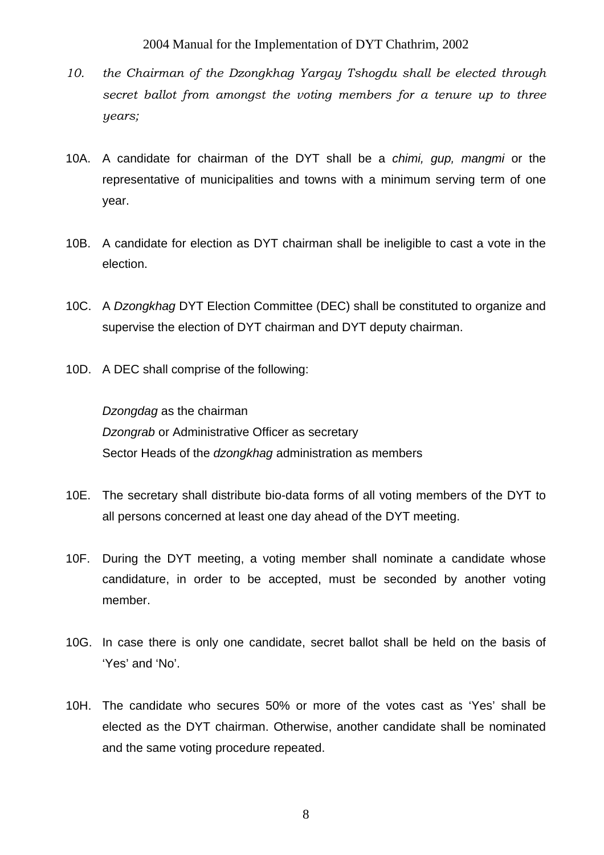- *10. the Chairman of the Dzongkhag Yargay Tshogdu shall be elected through secret ballot from amongst the voting members for a tenure up to three years;*
- 10A. A candidate for chairman of the DYT shall be a *chimi, gup, mangmi* or the representative of municipalities and towns with a minimum serving term of one year.
- 10B. A candidate for election as DYT chairman shall be ineligible to cast a vote in the election.
- 10C. A *Dzongkhag* DYT Election Committee (DEC) shall be constituted to organize and supervise the election of DYT chairman and DYT deputy chairman.
- 10D. A DEC shall comprise of the following:

*Dzongdag* as the chairman *Dzongrab* or Administrative Officer as secretary Sector Heads of the *dzongkhag* administration as members

- 10E. The secretary shall distribute bio-data forms of all voting members of the DYT to all persons concerned at least one day ahead of the DYT meeting.
- 10F. During the DYT meeting, a voting member shall nominate a candidate whose candidature, in order to be accepted, must be seconded by another voting member.
- 10G. In case there is only one candidate, secret ballot shall be held on the basis of 'Yes' and 'No'.
- 10H. The candidate who secures 50% or more of the votes cast as 'Yes' shall be elected as the DYT chairman. Otherwise, another candidate shall be nominated and the same voting procedure repeated.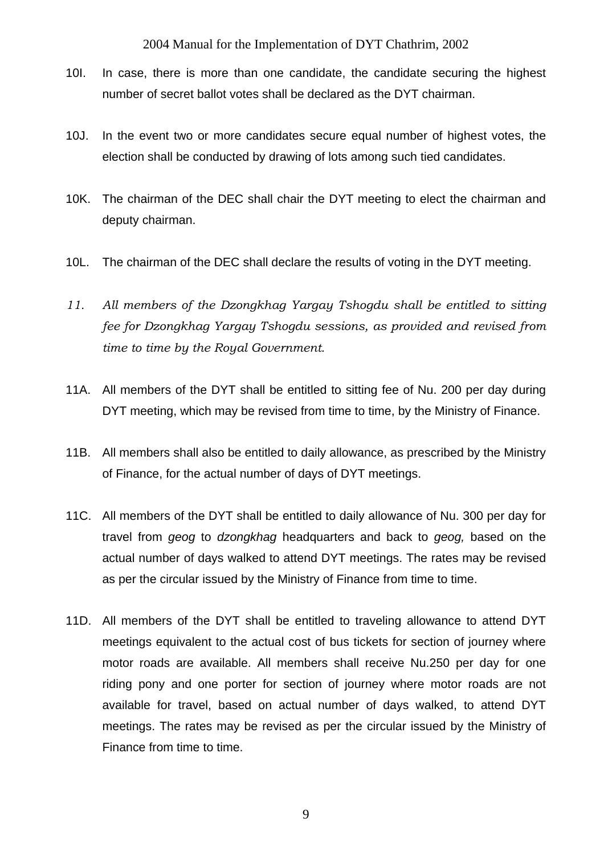- 10I. In case, there is more than one candidate, the candidate securing the highest number of secret ballot votes shall be declared as the DYT chairman.
- 10J. In the event two or more candidates secure equal number of highest votes, the election shall be conducted by drawing of lots among such tied candidates.
- 10K. The chairman of the DEC shall chair the DYT meeting to elect the chairman and deputy chairman.
- 10L. The chairman of the DEC shall declare the results of voting in the DYT meeting.
- *11. All members of the Dzongkhag Yargay Tshogdu shall be entitled to sitting fee for Dzongkhag Yargay Tshogdu sessions, as provided and revised from time to time by the Royal Government.*
- 11A. All members of the DYT shall be entitled to sitting fee of Nu. 200 per day during DYT meeting, which may be revised from time to time, by the Ministry of Finance.
- 11B. All members shall also be entitled to daily allowance, as prescribed by the Ministry of Finance, for the actual number of days of DYT meetings.
- 11C. All members of the DYT shall be entitled to daily allowance of Nu. 300 per day for travel from *geog* to *dzongkhag* headquarters and back to *geog,* based on the actual number of days walked to attend DYT meetings. The rates may be revised as per the circular issued by the Ministry of Finance from time to time.
- 11D. All members of the DYT shall be entitled to traveling allowance to attend DYT meetings equivalent to the actual cost of bus tickets for section of journey where motor roads are available. All members shall receive Nu.250 per day for one riding pony and one porter for section of journey where motor roads are not available for travel, based on actual number of days walked, to attend DYT meetings. The rates may be revised as per the circular issued by the Ministry of Finance from time to time.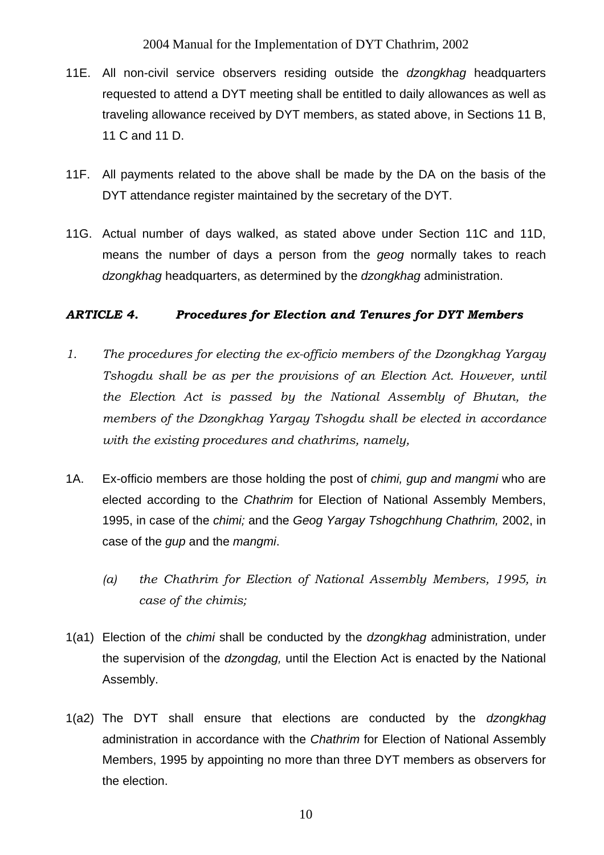- 11E. All non-civil service observers residing outside the *dzongkhag* headquarters requested to attend a DYT meeting shall be entitled to daily allowances as well as traveling allowance received by DYT members, as stated above, in Sections 11 B, 11 C and 11 D.
- 11F. All payments related to the above shall be made by the DA on the basis of the DYT attendance register maintained by the secretary of the DYT.
- 11G. Actual number of days walked, as stated above under Section 11C and 11D, means the number of days a person from the *geog* normally takes to reach *dzongkhag* headquarters, as determined by the *dzongkhag* administration.

### *ARTICLE 4. Procedures for Election and Tenures for DYT Members*

- *1. The procedures for electing the ex-officio members of the Dzongkhag Yargay Tshogdu shall be as per the provisions of an Election Act. However, until the Election Act is passed by the National Assembly of Bhutan, the members of the Dzongkhag Yargay Tshogdu shall be elected in accordance with the existing procedures and chathrims, namely,*
- 1A. Ex-officio members are those holding the post of *chimi, gup and mangmi* who are elected according to the *Chathrim* for Election of National Assembly Members, 1995, in case of the *chimi;* and the *Geog Yargay Tshogchhung Chathrim,* 2002, in case of the *gup* and the *mangmi*.
	- *(a) the Chathrim for Election of National Assembly Members, 1995, in case of the chimis;*
- 1(a1) Election of the *chimi* shall be conducted by the *dzongkhag* administration, under the supervision of the *dzongdag,* until the Election Act is enacted by the National Assembly.
- 1(a2) The DYT shall ensure that elections are conducted by the *dzongkhag*  administration in accordance with the *Chathrim* for Election of National Assembly Members, 1995 by appointing no more than three DYT members as observers for the election.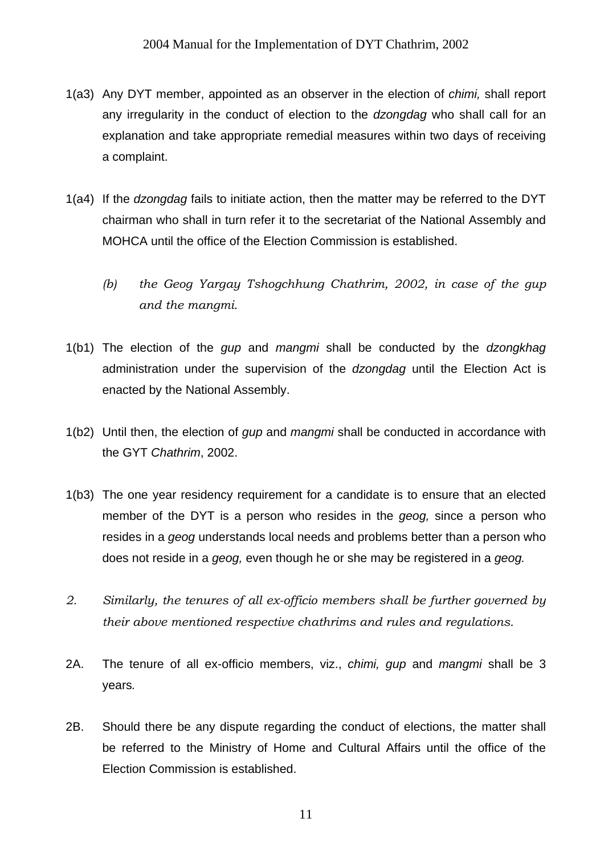- 1(a3) Any DYT member, appointed as an observer in the election of *chimi,* shall report any irregularity in the conduct of election to the *dzongdag* who shall call for an explanation and take appropriate remedial measures within two days of receiving a complaint.
- 1(a4) If the *dzongdag* fails to initiate action, then the matter may be referred to the DYT chairman who shall in turn refer it to the secretariat of the National Assembly and MOHCA until the office of the Election Commission is established.
	- *(b) the Geog Yargay Tshogchhung Chathrim, 2002, in case of the gup and the mangmi.*
- 1(b1) The election of the *gup* and *mangmi* shall be conducted by the *dzongkhag* administration under the supervision of the *dzongdag* until the Election Act is enacted by the National Assembly.
- 1(b2) Until then, the election of *gup* and *mangmi* shall be conducted in accordance with the GYT *Chathrim*, 2002.
- 1(b3) The one year residency requirement for a candidate is to ensure that an elected member of the DYT is a person who resides in the *geog,* since a person who resides in a *geog* understands local needs and problems better than a person who does not reside in a *geog,* even though he or she may be registered in a *geog.*
- *2. Similarly, the tenures of all ex-officio members shall be further governed by their above mentioned respective chathrims and rules and regulations.*
- 2A. The tenure of all ex-officio members, viz., *chimi, gup* and *mangmi* shall be 3 years*.*
- 2B. Should there be any dispute regarding the conduct of elections, the matter shall be referred to the Ministry of Home and Cultural Affairs until the office of the Election Commission is established.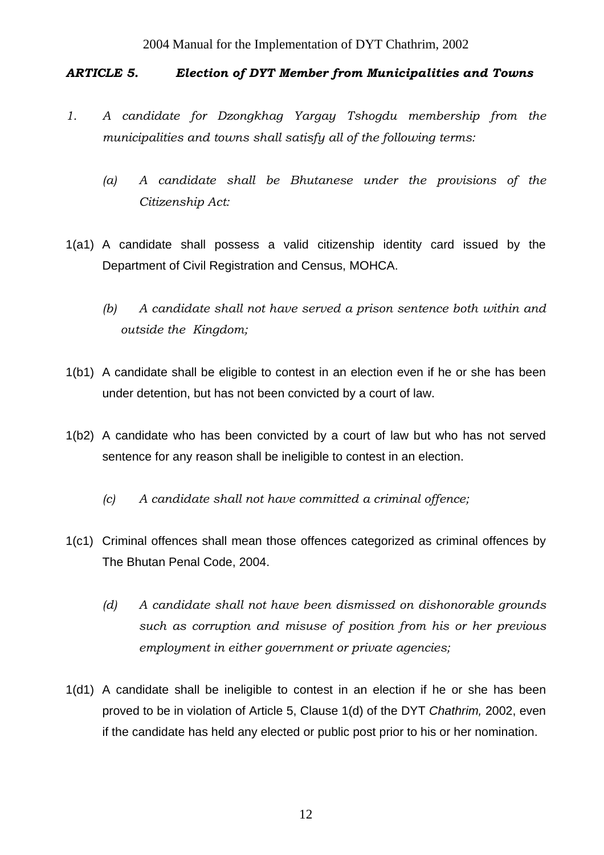## *ARTICLE 5. Election of DYT Member from Municipalities and Towns*

- *1. A candidate for Dzongkhag Yargay Tshogdu membership from the municipalities and towns shall satisfy all of the following terms:*
	- *(a) A candidate shall be Bhutanese under the provisions of the Citizenship Act:*
- 1(a1) A candidate shall possess a valid citizenship identity card issued by the Department of Civil Registration and Census, MOHCA.
	- *(b) A candidate shall not have served a prison sentence both within and outside the Kingdom;*
- 1(b1) A candidate shall be eligible to contest in an election even if he or she has been under detention, but has not been convicted by a court of law.
- 1(b2) A candidate who has been convicted by a court of law but who has not served sentence for any reason shall be ineligible to contest in an election.
	- *(c) A candidate shall not have committed a criminal offence;*
- 1(c1) Criminal offences shall mean those offences categorized as criminal offences by The Bhutan Penal Code, 2004.
	- *(d) A candidate shall not have been dismissed on dishonorable grounds such as corruption and misuse of position from his or her previous employment in either government or private agencies;*
- 1(d1) A candidate shall be ineligible to contest in an election if he or she has been proved to be in violation of Article 5, Clause 1(d) of the DYT *Chathrim,* 2002, even if the candidate has held any elected or public post prior to his or her nomination.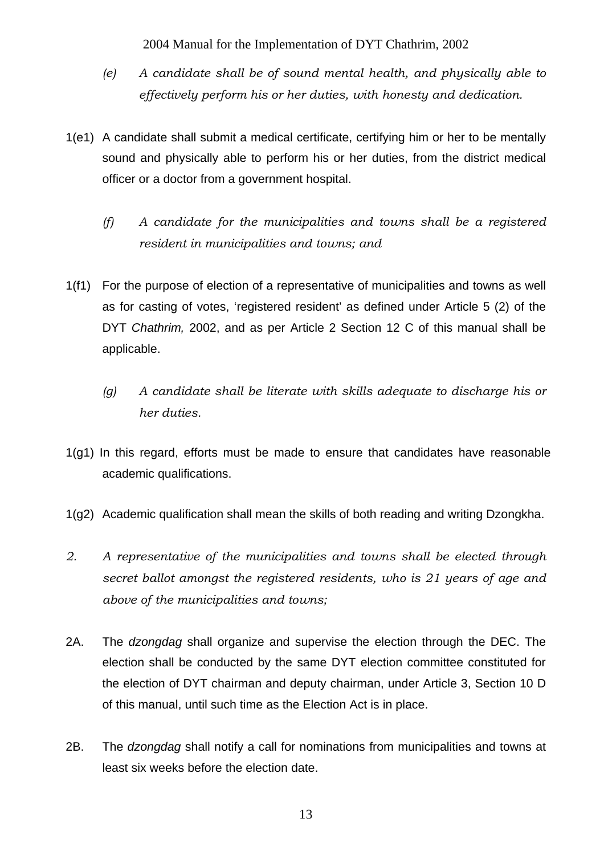- *(e) A candidate shall be of sound mental health, and physically able to effectively perform his or her duties, with honesty and dedication.*
- 1(e1) A candidate shall submit a medical certificate, certifying him or her to be mentally sound and physically able to perform his or her duties, from the district medical officer or a doctor from a government hospital.
	- *(f) A candidate for the municipalities and towns shall be a registered resident in municipalities and towns; and*
- 1(f1) For the purpose of election of a representative of municipalities and towns as well as for casting of votes, 'registered resident' as defined under Article 5 (2) of the DYT *Chathrim,* 2002, and as per Article 2 Section 12 C of this manual shall be applicable.
	- *(g) A candidate shall be literate with skills adequate to discharge his or her duties.*
- 1(g1) In this regard, efforts must be made to ensure that candidates have reasonable academic qualifications.
- 1(g2) Academic qualification shall mean the skills of both reading and writing Dzongkha.
- *2. A representative of the municipalities and towns shall be elected through secret ballot amongst the registered residents, who is 21 years of age and above of the municipalities and towns;*
- 2A. The *dzongdag* shall organize and supervise the election through the DEC. The election shall be conducted by the same DYT election committee constituted for the election of DYT chairman and deputy chairman, under Article 3, Section 10 D of this manual, until such time as the Election Act is in place.
- 2B. The *dzongdag* shall notify a call for nominations from municipalities and towns at least six weeks before the election date.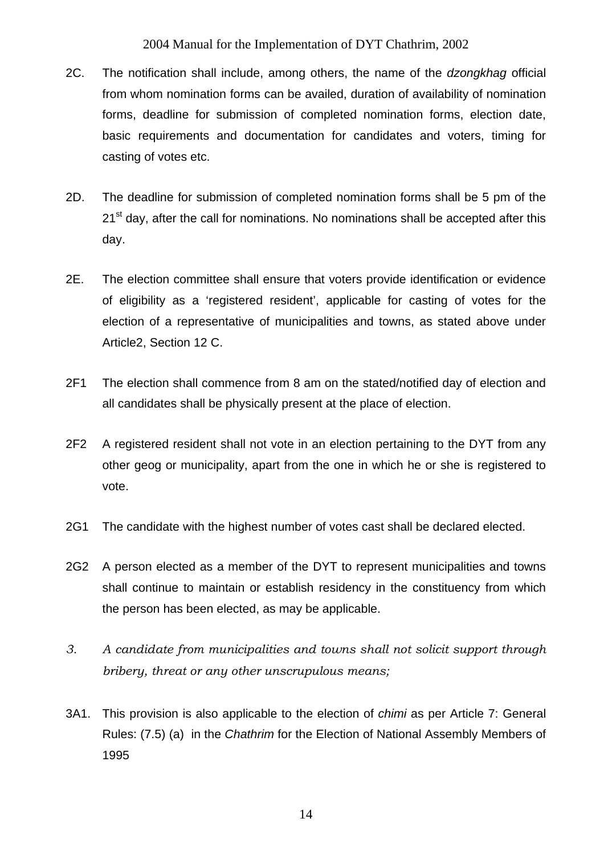- 2C. The notification shall include, among others, the name of the *dzongkhag* official from whom nomination forms can be availed, duration of availability of nomination forms, deadline for submission of completed nomination forms, election date, basic requirements and documentation for candidates and voters, timing for casting of votes etc.
- 2D. The deadline for submission of completed nomination forms shall be 5 pm of the  $21<sup>st</sup>$  day, after the call for nominations. No nominations shall be accepted after this day.
- 2E. The election committee shall ensure that voters provide identification or evidence of eligibility as a 'registered resident', applicable for casting of votes for the election of a representative of municipalities and towns, as stated above under Article2, Section 12 C.
- 2F1 The election shall commence from 8 am on the stated/notified day of election and all candidates shall be physically present at the place of election.
- 2F2 A registered resident shall not vote in an election pertaining to the DYT from any other geog or municipality, apart from the one in which he or she is registered to vote.
- 2G1 The candidate with the highest number of votes cast shall be declared elected.
- 2G2 A person elected as a member of the DYT to represent municipalities and towns shall continue to maintain or establish residency in the constituency from which the person has been elected, as may be applicable.
- *3. A candidate from municipalities and towns shall not solicit support through bribery, threat or any other unscrupulous means;*
- 3A1. This provision is also applicable to the election of *chimi* as per Article 7: General Rules: (7.5) (a) in the *Chathrim* for the Election of National Assembly Members of 1995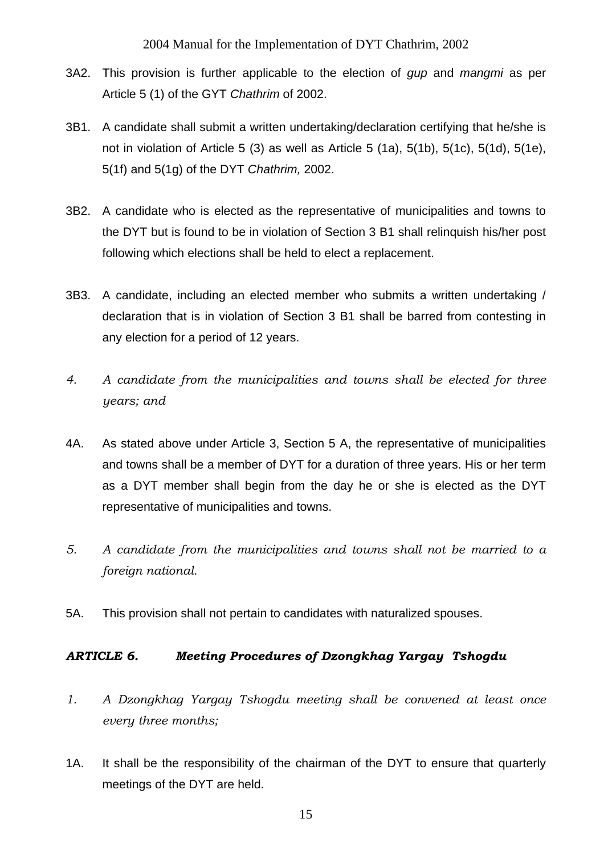- 3A2. This provision is further applicable to the election of *gup* and *mangmi* as per Article 5 (1) of the GYT *Chathrim* of 2002.
- 3B1. A candidate shall submit a written undertaking/declaration certifying that he/she is not in violation of Article 5 (3) as well as Article 5 (1a), 5(1b), 5(1c), 5(1d), 5(1e), 5(1f) and 5(1g) of the DYT *Chathrim,* 2002.
- 3B2. A candidate who is elected as the representative of municipalities and towns to the DYT but is found to be in violation of Section 3 B1 shall relinquish his/her post following which elections shall be held to elect a replacement.
- 3B3. A candidate, including an elected member who submits a written undertaking / declaration that is in violation of Section 3 B1 shall be barred from contesting in any election for a period of 12 years.
- *4. A candidate from the municipalities and towns shall be elected for three years; and*
- 4A. As stated above under Article 3, Section 5 A, the representative of municipalities and towns shall be a member of DYT for a duration of three years. His or her term as a DYT member shall begin from the day he or she is elected as the DYT representative of municipalities and towns.
- *5. A candidate from the municipalities and towns shall not be married to a foreign national.*
- 5A. This provision shall not pertain to candidates with naturalized spouses.

#### *ARTICLE 6. Meeting Procedures of Dzongkhag Yargay Tshogdu*

- *1. A Dzongkhag Yargay Tshogdu meeting shall be convened at least once every three months;*
- 1A. It shall be the responsibility of the chairman of the DYT to ensure that quarterly meetings of the DYT are held.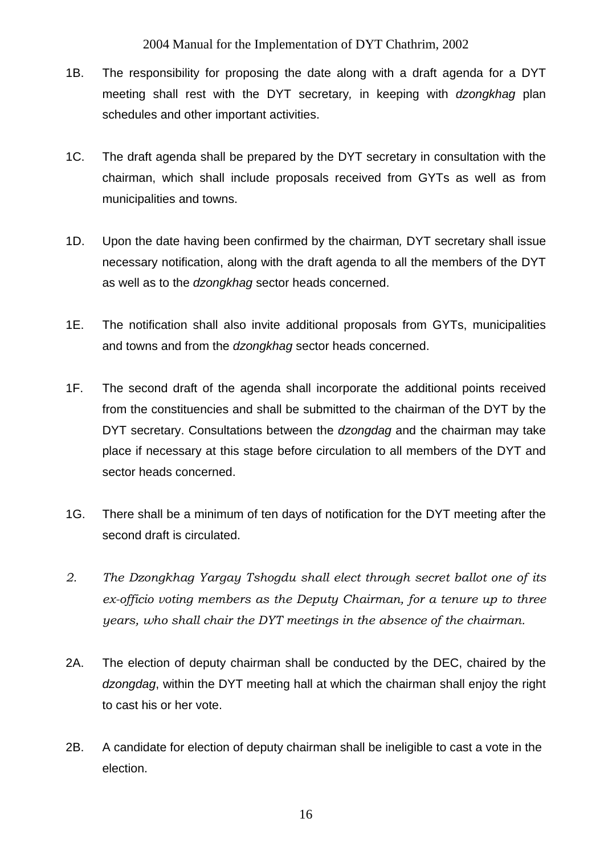- 1B. The responsibility for proposing the date along with a draft agenda for a DYT meeting shall rest with the DYT secretary*,* in keeping with *dzongkhag* plan schedules and other important activities.
- 1C. The draft agenda shall be prepared by the DYT secretary in consultation with the chairman, which shall include proposals received from GYTs as well as from municipalities and towns.
- 1D. Upon the date having been confirmed by the chairman*,* DYT secretary shall issue necessary notification, along with the draft agenda to all the members of the DYT as well as to the *dzongkhag* sector heads concerned.
- 1E. The notification shall also invite additional proposals from GYTs, municipalities and towns and from the *dzongkhag* sector heads concerned.
- 1F. The second draft of the agenda shall incorporate the additional points received from the constituencies and shall be submitted to the chairman of the DYT by the DYT secretary. Consultations between the *dzongdag* and the chairman may take place if necessary at this stage before circulation to all members of the DYT and sector heads concerned.
- 1G. There shall be a minimum of ten days of notification for the DYT meeting after the second draft is circulated.
- *2. The Dzongkhag Yargay Tshogdu shall elect through secret ballot one of its ex-officio voting members as the Deputy Chairman, for a tenure up to three years, who shall chair the DYT meetings in the absence of the chairman.*
- 2A. The election of deputy chairman shall be conducted by the DEC, chaired by the *dzongdag*, within the DYT meeting hall at which the chairman shall enjoy the right to cast his or her vote.
- 2B. A candidate for election of deputy chairman shall be ineligible to cast a vote in the election.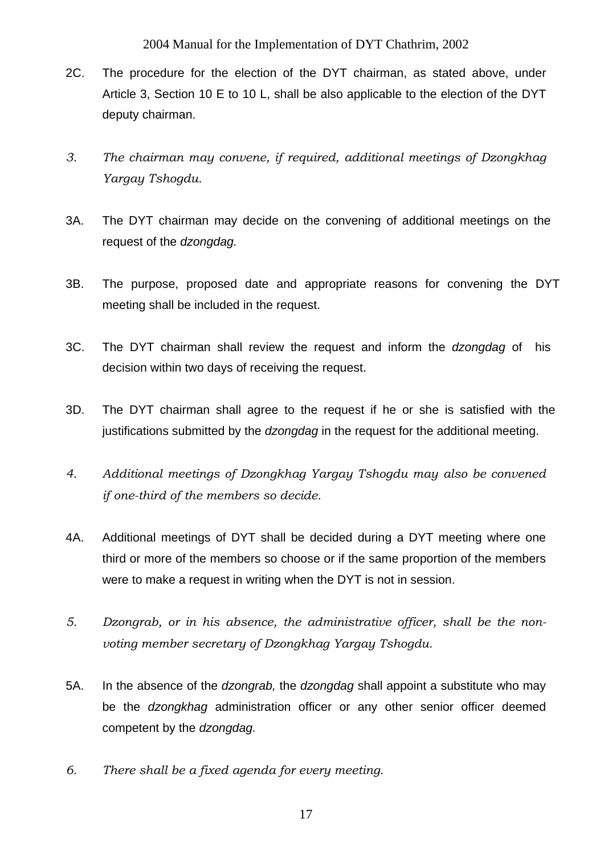- 2C. The procedure for the election of the DYT chairman, as stated above, under Article 3, Section 10 E to 10 L, shall be also applicable to the election of the DYT deputy chairman.
- *3. The chairman may convene, if required, additional meetings of Dzongkhag Yargay Tshogdu.*
- 3A. The DYT chairman may decide on the convening of additional meetings on the request of the *dzongdag.*
- 3B. The purpose, proposed date and appropriate reasons for convening the DYT meeting shall be included in the request.
- 3C. The DYT chairman shall review the request and inform the *dzongdag* of his decision within two days of receiving the request.
- 3D. The DYT chairman shall agree to the request if he or she is satisfied with the justifications submitted by the *dzongdag* in the request for the additional meeting.
- *4. Additional meetings of Dzongkhag Yargay Tshogdu may also be convened if one-third of the members so decide.*
- 4A. Additional meetings of DYT shall be decided during a DYT meeting where one third or more of the members so choose or if the same proportion of the members were to make a request in writing when the DYT is not in session.
- *5. Dzongrab, or in his absence, the administrative officer, shall be the nonvoting member secretary of Dzongkhag Yargay Tshogdu.*
- 5A. In the absence of the *dzongrab,* the *dzongdag* shall appoint a substitute who may be the *dzongkhag* administration officer or any other senior officer deemed competent by the *dzongdag.*
- *6. There shall be a fixed agenda for every meeting.*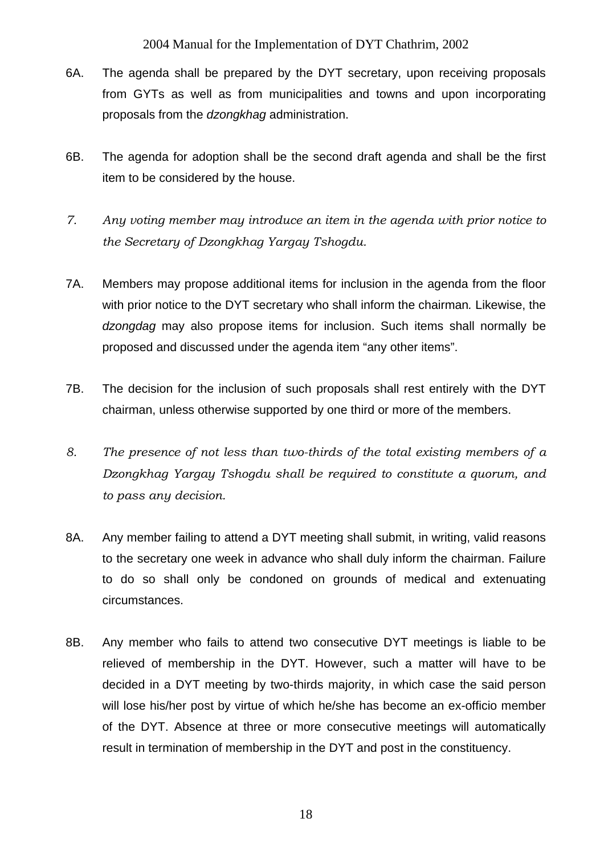- 6A. The agenda shall be prepared by the DYT secretary, upon receiving proposals from GYTs as well as from municipalities and towns and upon incorporating proposals from the *dzongkhag* administration.
- 6B. The agenda for adoption shall be the second draft agenda and shall be the first item to be considered by the house.
- *7. Any voting member may introduce an item in the agenda with prior notice to the Secretary of Dzongkhag Yargay Tshogdu.*
- 7A. Members may propose additional items for inclusion in the agenda from the floor with prior notice to the DYT secretary who shall inform the chairman*.* Likewise, the *dzongdag* may also propose items for inclusion. Such items shall normally be proposed and discussed under the agenda item "any other items".
- 7B. The decision for the inclusion of such proposals shall rest entirely with the DYT chairman, unless otherwise supported by one third or more of the members.
- *8. The presence of not less than two-thirds of the total existing members of a Dzongkhag Yargay Tshogdu shall be required to constitute a quorum, and to pass any decision.*
- 8A. Any member failing to attend a DYT meeting shall submit, in writing, valid reasons to the secretary one week in advance who shall duly inform the chairman. Failure to do so shall only be condoned on grounds of medical and extenuating circumstances.
- 8B. Any member who fails to attend two consecutive DYT meetings is liable to be relieved of membership in the DYT. However, such a matter will have to be decided in a DYT meeting by two-thirds majority, in which case the said person will lose his/her post by virtue of which he/she has become an ex-officio member of the DYT. Absence at three or more consecutive meetings will automatically result in termination of membership in the DYT and post in the constituency.

18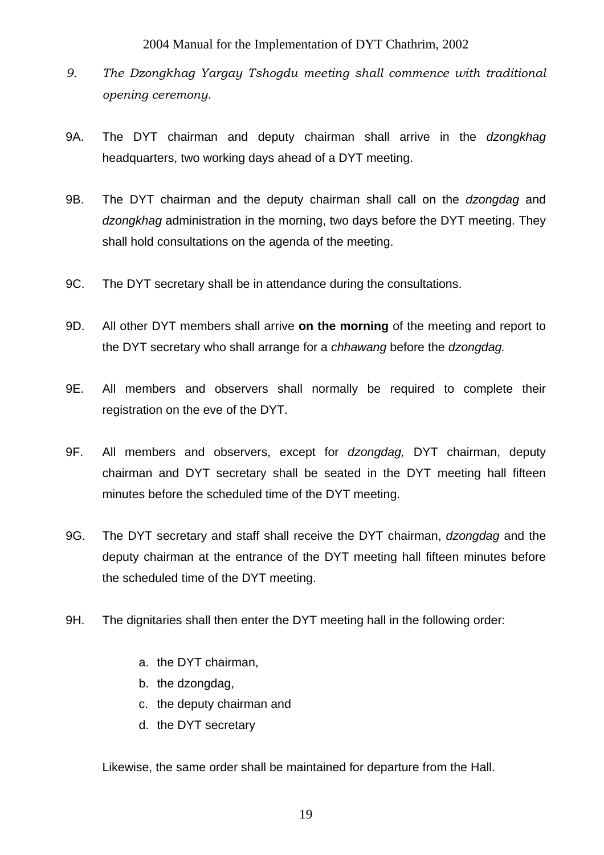- *9. The Dzongkhag Yargay Tshogdu meeting shall commence with traditional opening ceremony.*
- 9A. The DYT chairman and deputy chairman shall arrive in the *dzongkhag*  headquarters, two working days ahead of a DYT meeting.
- 9B. The DYT chairman and the deputy chairman shall call on the *dzongdag* and *dzongkhag* administration in the morning, two days before the DYT meeting. They shall hold consultations on the agenda of the meeting.
- 9C. The DYT secretary shall be in attendance during the consultations.
- 9D. All other DYT members shall arrive **on the morning** of the meeting and report to the DYT secretary who shall arrange for a *chhawang* before the *dzongdag.*
- 9E. All members and observers shall normally be required to complete their registration on the eve of the DYT.
- 9F. All members and observers, except for *dzongdag,* DYT chairman, deputy chairman and DYT secretary shall be seated in the DYT meeting hall fifteen minutes before the scheduled time of the DYT meeting.
- 9G. The DYT secretary and staff shall receive the DYT chairman, *dzongdag* and the deputy chairman at the entrance of the DYT meeting hall fifteen minutes before the scheduled time of the DYT meeting.
- 9H. The dignitaries shall then enter the DYT meeting hall in the following order:
	- a. the DYT chairman,
	- b. the dzongdag,
	- c. the deputy chairman and
	- d. the DYT secretary

Likewise, the same order shall be maintained for departure from the Hall.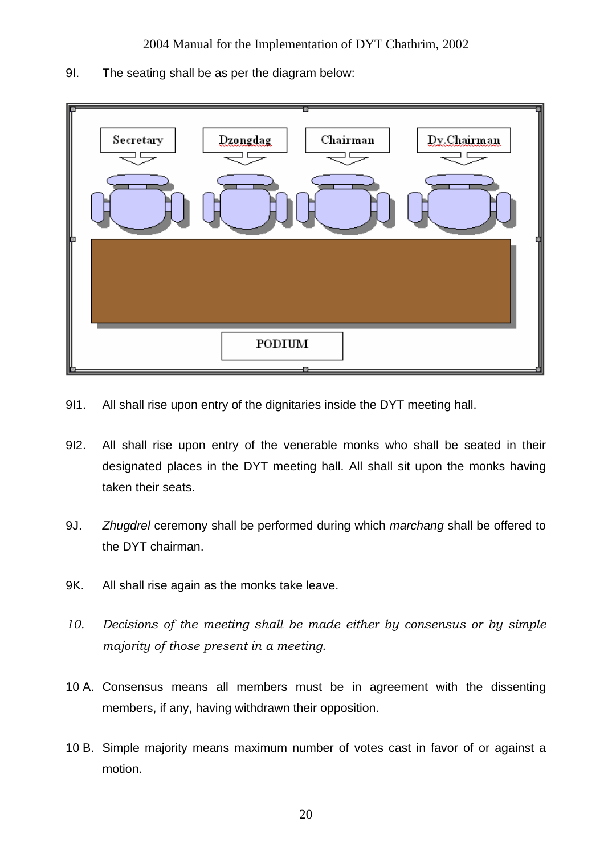

9I. The seating shall be as per the diagram below:

- 9I1. All shall rise upon entry of the dignitaries inside the DYT meeting hall.
- 9I2. All shall rise upon entry of the venerable monks who shall be seated in their designated places in the DYT meeting hall. All shall sit upon the monks having taken their seats.
- 9J. *Zhugdrel* ceremony shall be performed during which *marchang* shall be offered to the DYT chairman.
- 9K. All shall rise again as the monks take leave.
- *10. Decisions of the meeting shall be made either by consensus or by simple majority of those present in a meeting.*
- 10 A. Consensus means all members must be in agreement with the dissenting members, if any, having withdrawn their opposition.
- 10 B. Simple majority means maximum number of votes cast in favor of or against a motion.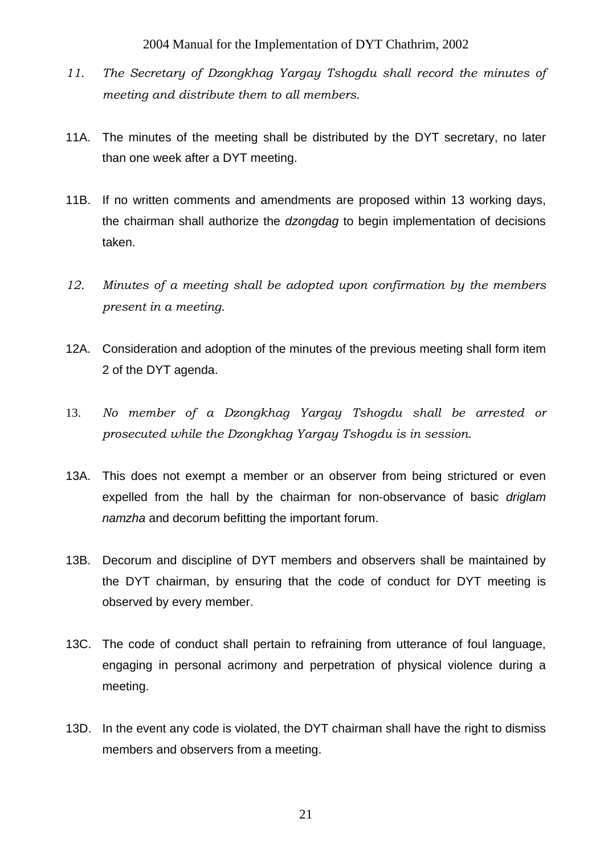- *11. The Secretary of Dzongkhag Yargay Tshogdu shall record the minutes of meeting and distribute them to all members.*
- 11A. The minutes of the meeting shall be distributed by the DYT secretary, no later than one week after a DYT meeting.
- 11B. If no written comments and amendments are proposed within 13 working days, the chairman shall authorize the *dzongdag* to begin implementation of decisions taken.
- *12. Minutes of a meeting shall be adopted upon confirmation by the members present in a meeting.*
- 12A. Consideration and adoption of the minutes of the previous meeting shall form item 2 of the DYT agenda.
- 13. *No member of a Dzongkhag Yargay Tshogdu shall be arrested or prosecuted while the Dzongkhag Yargay Tshogdu is in session.*
- 13A. This does not exempt a member or an observer from being strictured or even expelled from the hall by the chairman for non-observance of basic *driglam namzha* and decorum befitting the important forum.
- 13B. Decorum and discipline of DYT members and observers shall be maintained by the DYT chairman, by ensuring that the code of conduct for DYT meeting is observed by every member.
- 13C. The code of conduct shall pertain to refraining from utterance of foul language, engaging in personal acrimony and perpetration of physical violence during a meeting.
- 13D. In the event any code is violated, the DYT chairman shall have the right to dismiss members and observers from a meeting.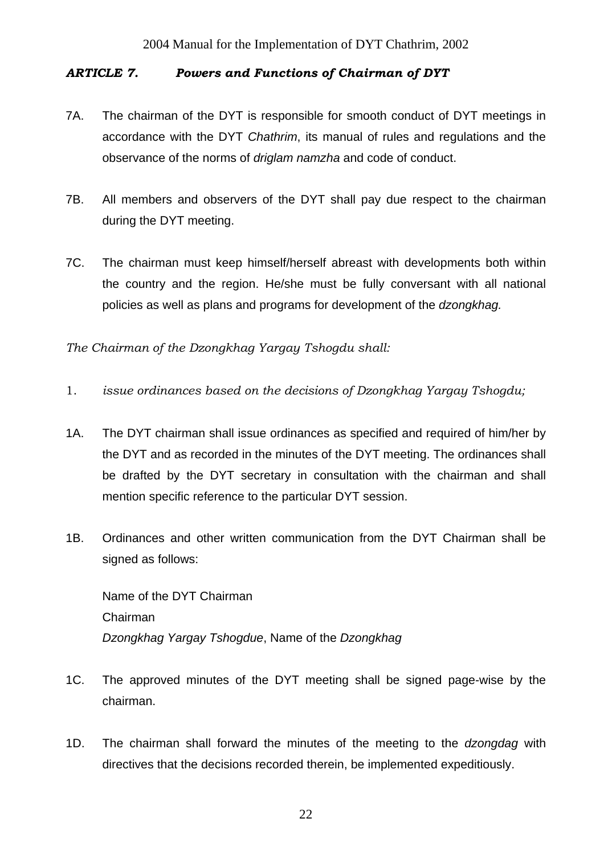## *ARTICLE 7. Powers and Functions of Chairman of DYT*

- 7A. The chairman of the DYT is responsible for smooth conduct of DYT meetings in accordance with the DYT *Chathrim*, its manual of rules and regulations and the observance of the norms of *driglam namzha* and code of conduct.
- 7B. All members and observers of the DYT shall pay due respect to the chairman during the DYT meeting.
- 7C. The chairman must keep himself/herself abreast with developments both within the country and the region. He/she must be fully conversant with all national policies as well as plans and programs for development of the *dzongkhag.*

*The Chairman of the Dzongkhag Yargay Tshogdu shall:* 

- 1. *issue ordinances based on the decisions of Dzongkhag Yargay Tshogdu;*
- 1A. The DYT chairman shall issue ordinances as specified and required of him/her by the DYT and as recorded in the minutes of the DYT meeting. The ordinances shall be drafted by the DYT secretary in consultation with the chairman and shall mention specific reference to the particular DYT session.
- 1B. Ordinances and other written communication from the DYT Chairman shall be signed as follows:

Name of the DYT Chairman Chairman *Dzongkhag Yargay Tshogdue*, Name of the *Dzongkhag* 

- 1C. The approved minutes of the DYT meeting shall be signed page-wise by the chairman.
- 1D. The chairman shall forward the minutes of the meeting to the *dzongdag* with directives that the decisions recorded therein, be implemented expeditiously.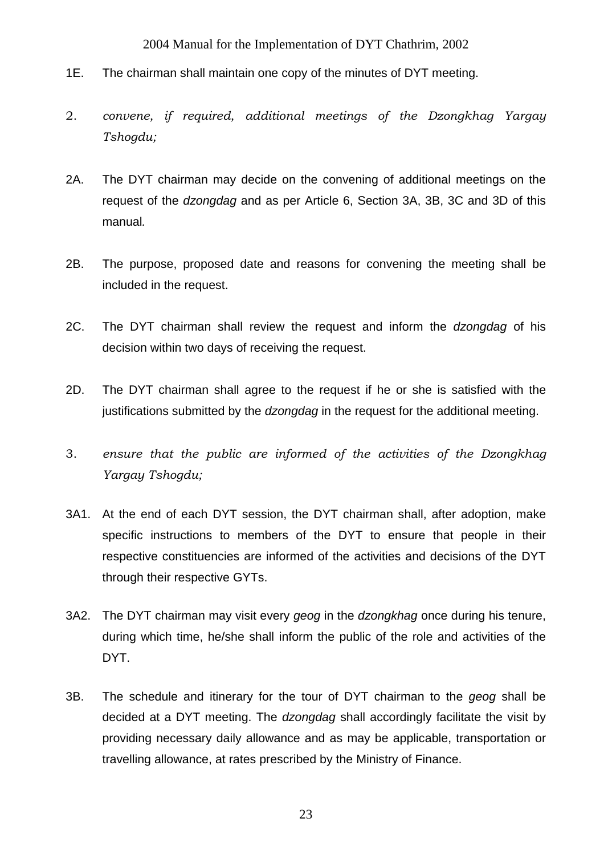- 1E. The chairman shall maintain one copy of the minutes of DYT meeting.
- 2. *convene, if required, additional meetings of the Dzongkhag Yargay Tshogdu;*
- 2A. The DYT chairman may decide on the convening of additional meetings on the request of the *dzongdag* and as per Article 6, Section 3A, 3B, 3C and 3D of this manual*.*
- 2B. The purpose, proposed date and reasons for convening the meeting shall be included in the request.
- 2C. The DYT chairman shall review the request and inform the *dzongdag* of his decision within two days of receiving the request.
- 2D. The DYT chairman shall agree to the request if he or she is satisfied with the justifications submitted by the *dzongdag* in the request for the additional meeting.
- 3. *ensure that the public are informed of the activities of the Dzongkhag Yargay Tshogdu;*
- 3A1. At the end of each DYT session, the DYT chairman shall, after adoption, make specific instructions to members of the DYT to ensure that people in their respective constituencies are informed of the activities and decisions of the DYT through their respective GYTs.
- 3A2. The DYT chairman may visit every *geog* in the *dzongkhag* once during his tenure, during which time, he/she shall inform the public of the role and activities of the DYT.
- 3B. The schedule and itinerary for the tour of DYT chairman to the *geog* shall be decided at a DYT meeting. The *dzongdag* shall accordingly facilitate the visit by providing necessary daily allowance and as may be applicable, transportation or travelling allowance, at rates prescribed by the Ministry of Finance.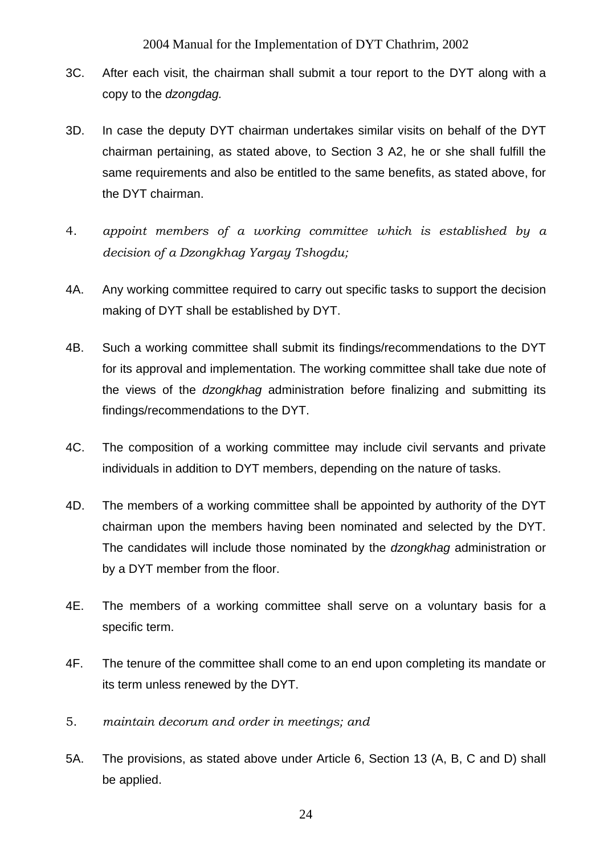- 3C. After each visit, the chairman shall submit a tour report to the DYT along with a copy to the *dzongdag.*
- 3D. In case the deputy DYT chairman undertakes similar visits on behalf of the DYT chairman pertaining, as stated above, to Section 3 A2, he or she shall fulfill the same requirements and also be entitled to the same benefits, as stated above, for the DYT chairman.
- 4. *appoint members of a working committee which is established by a decision of a Dzongkhag Yargay Tshogdu;*
- 4A. Any working committee required to carry out specific tasks to support the decision making of DYT shall be established by DYT.
- 4B. Such a working committee shall submit its findings/recommendations to the DYT for its approval and implementation. The working committee shall take due note of the views of the *dzongkhag* administration before finalizing and submitting its findings/recommendations to the DYT.
- 4C. The composition of a working committee may include civil servants and private individuals in addition to DYT members, depending on the nature of tasks.
- 4D. The members of a working committee shall be appointed by authority of the DYT chairman upon the members having been nominated and selected by the DYT. The candidates will include those nominated by the *dzongkhag* administration or by a DYT member from the floor.
- 4E. The members of a working committee shall serve on a voluntary basis for a specific term.
- 4F. The tenure of the committee shall come to an end upon completing its mandate or its term unless renewed by the DYT.
- 5. *maintain decorum and order in meetings; and*
- 5A. The provisions, as stated above under Article 6, Section 13 (A, B, C and D) shall be applied.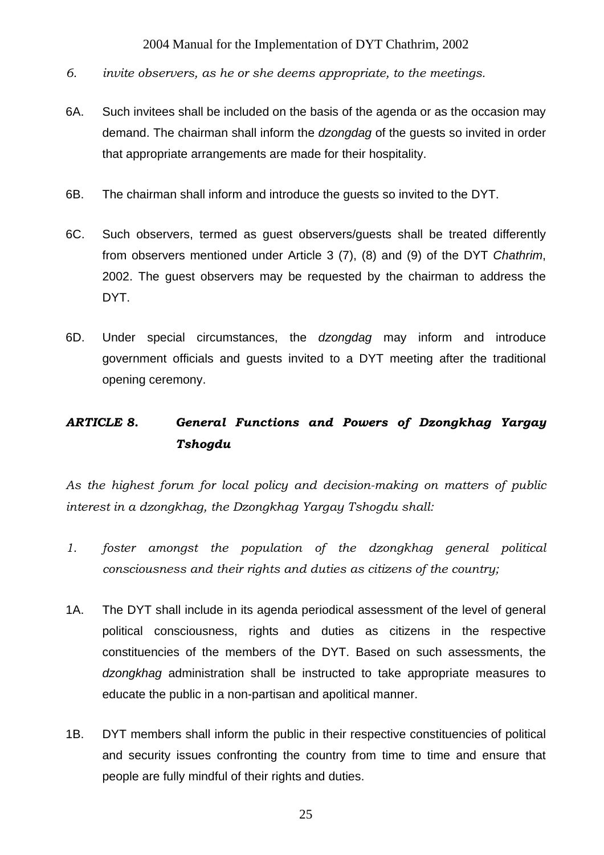- *6. invite observers, as he or she deems appropriate, to the meetings.*
- 6A. Such invitees shall be included on the basis of the agenda or as the occasion may demand. The chairman shall inform the *dzongdag* of the guests so invited in order that appropriate arrangements are made for their hospitality.
- 6B. The chairman shall inform and introduce the guests so invited to the DYT.
- 6C. Such observers, termed as guest observers/guests shall be treated differently from observers mentioned under Article 3 (7), (8) and (9) of the DYT *Chathrim*, 2002. The guest observers may be requested by the chairman to address the DYT.
- 6D. Under special circumstances, the *dzongdag* may inform and introduce government officials and guests invited to a DYT meeting after the traditional opening ceremony.

# *ARTICLE 8. General Functions and Powers of Dzongkhag Yargay Tshogdu*

*As the highest forum for local policy and decision-making on matters of public interest in a dzongkhag, the Dzongkhag Yargay Tshogdu shall:*

- *1. foster amongst the population of the dzongkhag general political consciousness and their rights and duties as citizens of the country;*
- 1A. The DYT shall include in its agenda periodical assessment of the level of general political consciousness, rights and duties as citizens in the respective constituencies of the members of the DYT. Based on such assessments, the *dzongkhag* administration shall be instructed to take appropriate measures to educate the public in a non-partisan and apolitical manner.
- 1B. DYT members shall inform the public in their respective constituencies of political and security issues confronting the country from time to time and ensure that people are fully mindful of their rights and duties.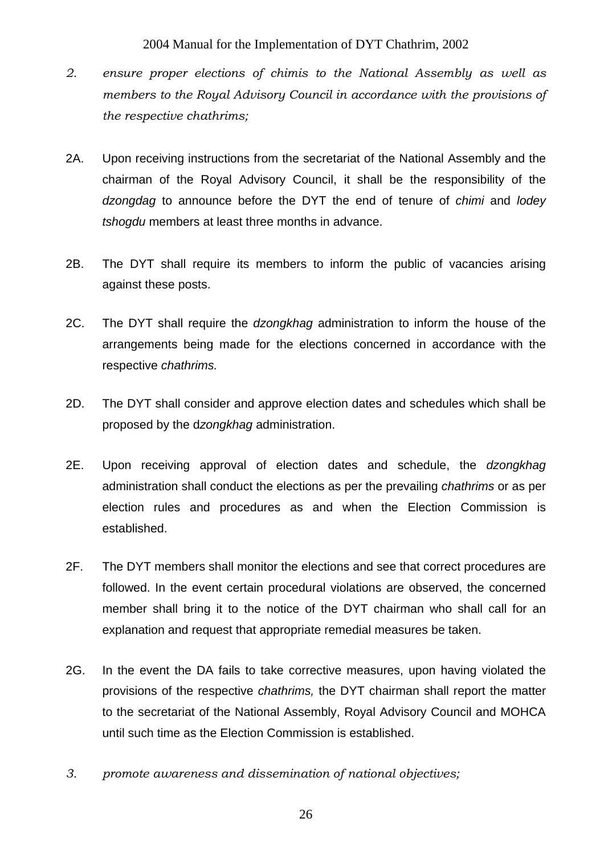- *2. ensure proper elections of chimis to the National Assembly as well as members to the Royal Advisory Council in accordance with the provisions of the respective chathrims;*
- 2A. Upon receiving instructions from the secretariat of the National Assembly and the chairman of the Royal Advisory Council, it shall be the responsibility of the *dzongdag* to announce before the DYT the end of tenure of *chimi* and *lodey tshogdu* members at least three months in advance.
- 2B. The DYT shall require its members to inform the public of vacancies arising against these posts.
- 2C. The DYT shall require the *dzongkhag* administration to inform the house of the arrangements being made for the elections concerned in accordance with the respective *chathrims.*
- 2D. The DYT shall consider and approve election dates and schedules which shall be proposed by the d*zongkhag* administration.
- 2E. Upon receiving approval of election dates and schedule, the *dzongkhag* administration shall conduct the elections as per the prevailing *chathrims* or as per election rules and procedures as and when the Election Commission is established.
- 2F. The DYT members shall monitor the elections and see that correct procedures are followed. In the event certain procedural violations are observed, the concerned member shall bring it to the notice of the DYT chairman who shall call for an explanation and request that appropriate remedial measures be taken.
- 2G. In the event the DA fails to take corrective measures, upon having violated the provisions of the respective *chathrims,* the DYT chairman shall report the matter to the secretariat of the National Assembly, Royal Advisory Council and MOHCA until such time as the Election Commission is established.
- *3. promote awareness and dissemination of national objectives;*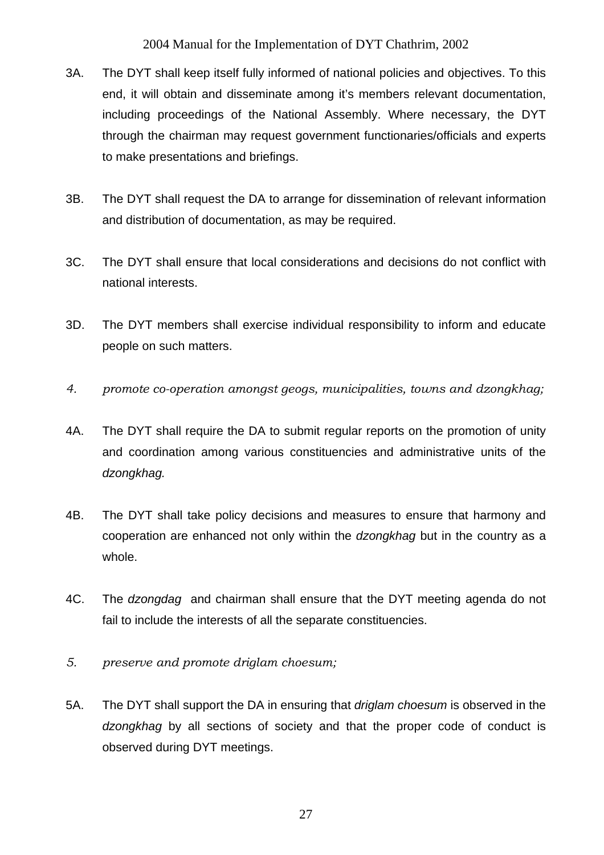- 3A. The DYT shall keep itself fully informed of national policies and objectives. To this end, it will obtain and disseminate among it's members relevant documentation, including proceedings of the National Assembly. Where necessary, the DYT through the chairman may request government functionaries/officials and experts to make presentations and briefings.
- 3B. The DYT shall request the DA to arrange for dissemination of relevant information and distribution of documentation, as may be required.
- 3C. The DYT shall ensure that local considerations and decisions do not conflict with national interests.
- 3D. The DYT members shall exercise individual responsibility to inform and educate people on such matters.
- *4. promote co-operation amongst geogs, municipalities, towns and dzongkhag;*
- 4A. The DYT shall require the DA to submit regular reports on the promotion of unity and coordination among various constituencies and administrative units of the *dzongkhag.*
- 4B. The DYT shall take policy decisions and measures to ensure that harmony and cooperation are enhanced not only within the *dzongkhag* but in the country as a whole.
- 4C. The *dzongdag* and chairman shall ensure that the DYT meeting agenda do not fail to include the interests of all the separate constituencies.
- *5. preserve and promote driglam choesum;*
- 5A. The DYT shall support the DA in ensuring that *driglam choesum* is observed in the *dzongkhag* by all sections of society and that the proper code of conduct is observed during DYT meetings.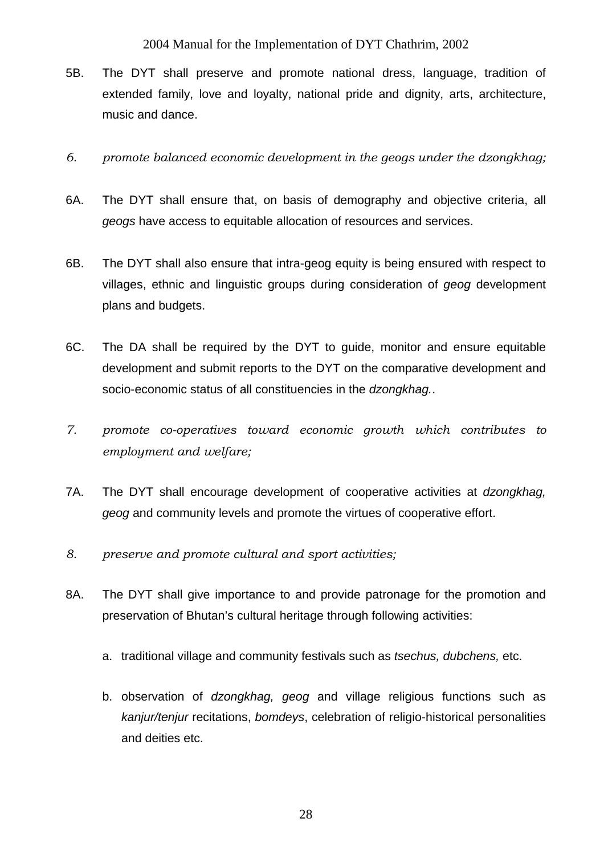- 5B. The DYT shall preserve and promote national dress, language, tradition of extended family, love and loyalty, national pride and dignity, arts, architecture, music and dance.
- *6. promote balanced economic development in the geogs under the dzongkhag;*
- 6A. The DYT shall ensure that, on basis of demography and objective criteria, all *geogs* have access to equitable allocation of resources and services.
- 6B. The DYT shall also ensure that intra-geog equity is being ensured with respect to villages, ethnic and linguistic groups during consideration of *geog* development plans and budgets.
- 6C. The DA shall be required by the DYT to guide, monitor and ensure equitable development and submit reports to the DYT on the comparative development and socio-economic status of all constituencies in the *dzongkhag.*.
- *7. promote co-operatives toward economic growth which contributes to employment and welfare;*
- 7A. The DYT shall encourage development of cooperative activities at *dzongkhag, geog* and community levels and promote the virtues of cooperative effort.
- *8. preserve and promote cultural and sport activities;*
- 8A. The DYT shall give importance to and provide patronage for the promotion and preservation of Bhutan's cultural heritage through following activities:
	- a. traditional village and community festivals such as *tsechus, dubchens,* etc.
	- b. observation of *dzongkhag, geog* and village religious functions such as *kanjur/tenjur* recitations, *bomdeys*, celebration of religio-historical personalities and deities etc.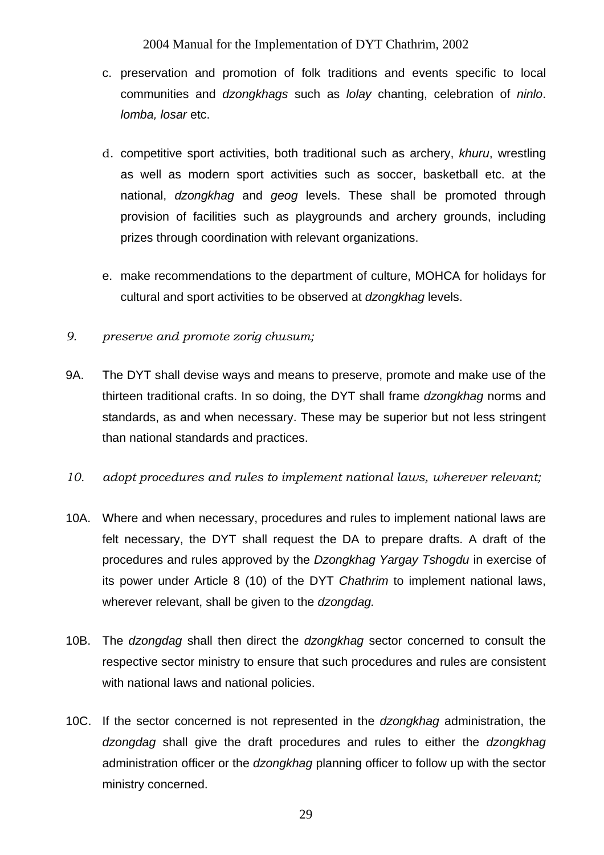- c. preservation and promotion of folk traditions and events specific to local communities and *dzongkhags* such as *lolay* chanting, celebration of *ninlo*. *lomba, losar* etc.
- d. competitive sport activities, both traditional such as archery, *khuru*, wrestling as well as modern sport activities such as soccer, basketball etc. at the national, *dzongkhag* and *geog* levels. These shall be promoted through provision of facilities such as playgrounds and archery grounds, including prizes through coordination with relevant organizations.
- e. make recommendations to the department of culture, MOHCA for holidays for cultural and sport activities to be observed at *dzongkhag* levels.
- *9. preserve and promote zorig chusum;*
- 9A. The DYT shall devise ways and means to preserve, promote and make use of the thirteen traditional crafts. In so doing, the DYT shall frame *dzongkhag* norms and standards, as and when necessary. These may be superior but not less stringent than national standards and practices.
- *10. adopt procedures and rules to implement national laws, wherever relevant;*
- 10A. Where and when necessary, procedures and rules to implement national laws are felt necessary, the DYT shall request the DA to prepare drafts. A draft of the procedures and rules approved by the *Dzongkhag Yargay Tshogdu* in exercise of its power under Article 8 (10) of the DYT *Chathrim* to implement national laws, wherever relevant, shall be given to the *dzongdag.*
- 10B. The *dzongdag* shall then direct the *dzongkhag* sector concerned to consult the respective sector ministry to ensure that such procedures and rules are consistent with national laws and national policies.
- 10C. If the sector concerned is not represented in the *dzongkhag* administration, the *dzongdag* shall give the draft procedures and rules to either the *dzongkhag* administration officer or the *dzongkhag* planning officer to follow up with the sector ministry concerned.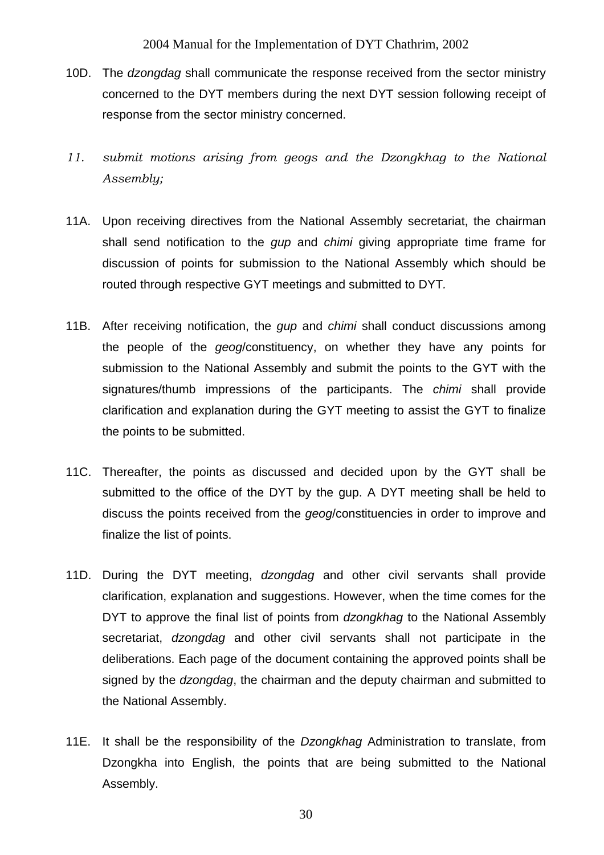- 10D. The *dzongdag* shall communicate the response received from the sector ministry concerned to the DYT members during the next DYT session following receipt of response from the sector ministry concerned.
- *11. submit motions arising from geogs and the Dzongkhag to the National Assembly;*
- 11A. Upon receiving directives from the National Assembly secretariat, the chairman shall send notification to the *gup* and *chimi* giving appropriate time frame for discussion of points for submission to the National Assembly which should be routed through respective GYT meetings and submitted to DYT*.*
- 11B. After receiving notification, the *gup* and *chimi* shall conduct discussions among the people of the *geog*/constituency, on whether they have any points for submission to the National Assembly and submit the points to the GYT with the signatures/thumb impressions of the participants. The *chimi* shall provide clarification and explanation during the GYT meeting to assist the GYT to finalize the points to be submitted.
- 11C. Thereafter, the points as discussed and decided upon by the GYT shall be submitted to the office of the DYT by the gup. A DYT meeting shall be held to discuss the points received from the *geog*/constituencies in order to improve and finalize the list of points.
- 11D. During the DYT meeting, *dzongdag* and other civil servants shall provide clarification, explanation and suggestions. However, when the time comes for the DYT to approve the final list of points from *dzongkhag* to the National Assembly secretariat, *dzongdag* and other civil servants shall not participate in the deliberations. Each page of the document containing the approved points shall be signed by the *dzongdag*, the chairman and the deputy chairman and submitted to the National Assembly.
- 11E. It shall be the responsibility of the *Dzongkhag* Administration to translate, from Dzongkha into English, the points that are being submitted to the National Assembly.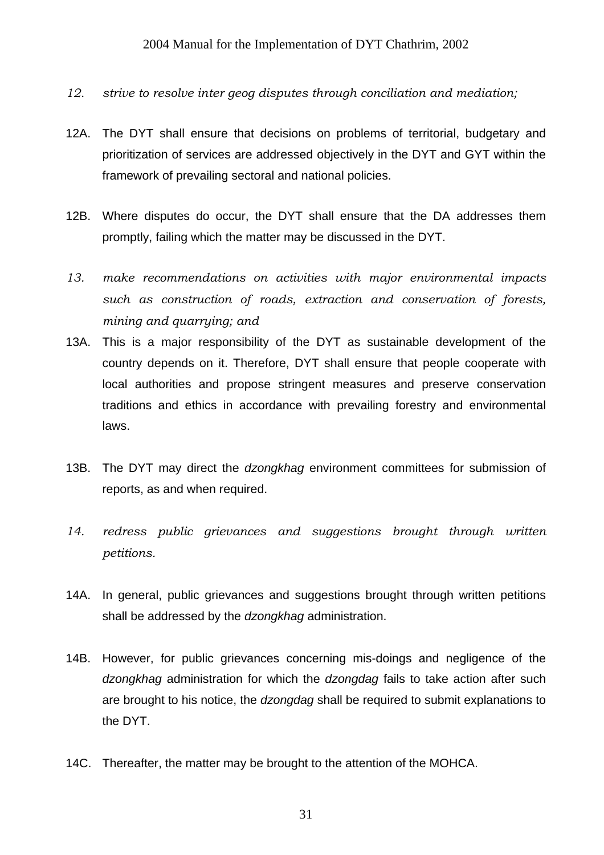- *12. strive to resolve inter geog disputes through conciliation and mediation;*
- 12A. The DYT shall ensure that decisions on problems of territorial, budgetary and prioritization of services are addressed objectively in the DYT and GYT within the framework of prevailing sectoral and national policies.
- 12B. Where disputes do occur, the DYT shall ensure that the DA addresses them promptly, failing which the matter may be discussed in the DYT.
- *13. make recommendations on activities with major environmental impacts such as construction of roads, extraction and conservation of forests, mining and quarrying; and*
- 13A. This is a major responsibility of the DYT as sustainable development of the country depends on it. Therefore, DYT shall ensure that people cooperate with local authorities and propose stringent measures and preserve conservation traditions and ethics in accordance with prevailing forestry and environmental laws.
- 13B. The DYT may direct the *dzongkhag* environment committees for submission of reports, as and when required.
- *14. redress public grievances and suggestions brought through written petitions.*
- 14A. In general, public grievances and suggestions brought through written petitions shall be addressed by the *dzongkhag* administration.
- 14B. However, for public grievances concerning mis-doings and negligence of the *dzongkhag* administration for which the *dzongdag* fails to take action after such are brought to his notice, the *dzongdag* shall be required to submit explanations to the DYT.
- 14C. Thereafter, the matter may be brought to the attention of the MOHCA.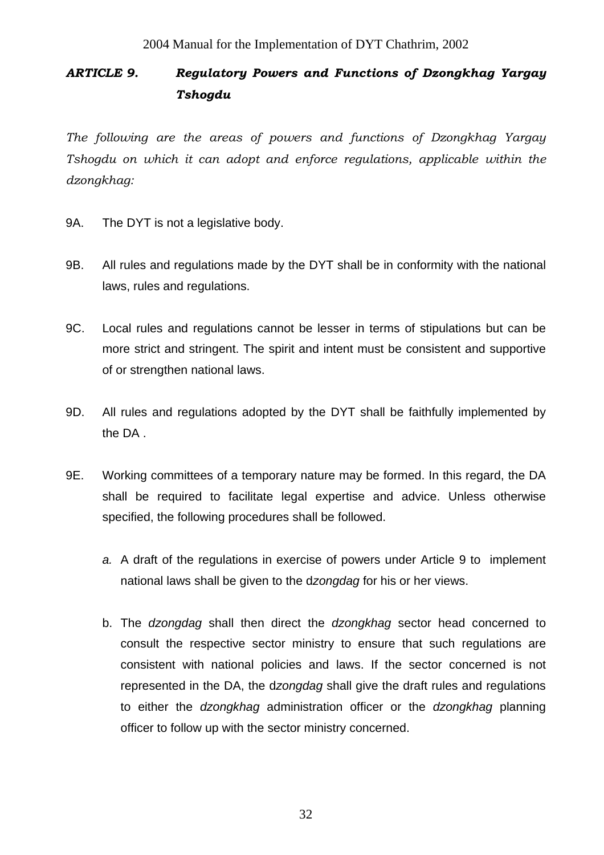# *ARTICLE 9. Regulatory Powers and Functions of Dzongkhag Yargay Tshogdu*

*The following are the areas of powers and functions of Dzongkhag Yargay Tshogdu on which it can adopt and enforce regulations, applicable within the dzongkhag:* 

- 9A. The DYT is not a legislative body.
- 9B. All rules and regulations made by the DYT shall be in conformity with the national laws, rules and regulations.
- 9C. Local rules and regulations cannot be lesser in terms of stipulations but can be more strict and stringent. The spirit and intent must be consistent and supportive of or strengthen national laws.
- 9D. All rules and regulations adopted by the DYT shall be faithfully implemented by the DA .
- 9E. Working committees of a temporary nature may be formed. In this regard, the DA shall be required to facilitate legal expertise and advice. Unless otherwise specified, the following procedures shall be followed.
	- *a.* A draft of the regulations in exercise of powers under Article 9 to implement national laws shall be given to the d*zongdag* for his or her views.
	- b. The *dzongdag* shall then direct the *dzongkhag* sector head concerned to consult the respective sector ministry to ensure that such regulations are consistent with national policies and laws. If the sector concerned is not represented in the DA, the d*zongdag* shall give the draft rules and regulations to either the *dzongkhag* administration officer or the *dzongkhag* planning officer to follow up with the sector ministry concerned.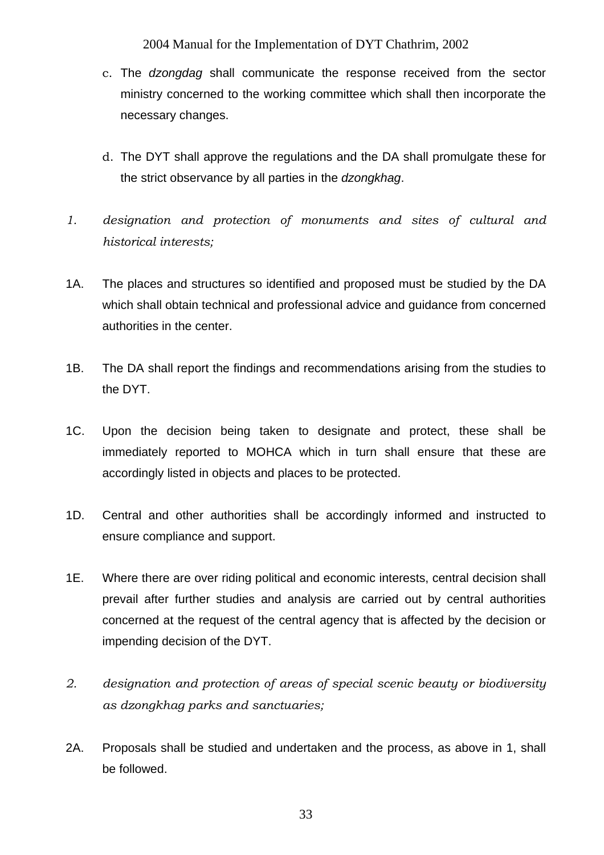- c. The *dzongdag* shall communicate the response received from the sector ministry concerned to the working committee which shall then incorporate the necessary changes.
- d. The DYT shall approve the regulations and the DA shall promulgate these for the strict observance by all parties in the *dzongkhag*.
- *1. designation and protection of monuments and sites of cultural and historical interests;*
- 1A. The places and structures so identified and proposed must be studied by the DA which shall obtain technical and professional advice and guidance from concerned authorities in the center.
- 1B. The DA shall report the findings and recommendations arising from the studies to the DYT.
- 1C. Upon the decision being taken to designate and protect, these shall be immediately reported to MOHCA which in turn shall ensure that these are accordingly listed in objects and places to be protected.
- 1D. Central and other authorities shall be accordingly informed and instructed to ensure compliance and support.
- 1E. Where there are over riding political and economic interests, central decision shall prevail after further studies and analysis are carried out by central authorities concerned at the request of the central agency that is affected by the decision or impending decision of the DYT.
- *2. designation and protection of areas of special scenic beauty or biodiversity as dzongkhag parks and sanctuaries;*
- 2A. Proposals shall be studied and undertaken and the process, as above in 1, shall be followed.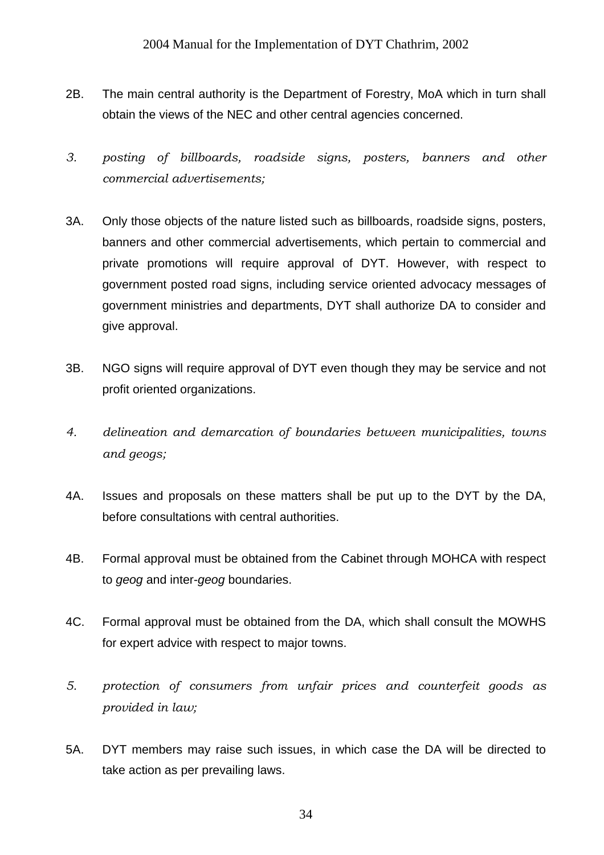- 2B. The main central authority is the Department of Forestry, MoA which in turn shall obtain the views of the NEC and other central agencies concerned.
- *3. posting of billboards, roadside signs, posters, banners and other commercial advertisements;*
- 3A. Only those objects of the nature listed such as billboards, roadside signs, posters, banners and other commercial advertisements, which pertain to commercial and private promotions will require approval of DYT. However, with respect to government posted road signs, including service oriented advocacy messages of government ministries and departments, DYT shall authorize DA to consider and give approval.
- 3B. NGO signs will require approval of DYT even though they may be service and not profit oriented organizations.
- *4. delineation and demarcation of boundaries between municipalities, towns and geogs;*
- 4A. Issues and proposals on these matters shall be put up to the DYT by the DA, before consultations with central authorities.
- 4B. Formal approval must be obtained from the Cabinet through MOHCA with respect to *geog* and inter-*geog* boundaries.
- 4C. Formal approval must be obtained from the DA, which shall consult the MOWHS for expert advice with respect to major towns.
- *5. protection of consumers from unfair prices and counterfeit goods as provided in law;*
- 5A. DYT members may raise such issues, in which case the DA will be directed to take action as per prevailing laws.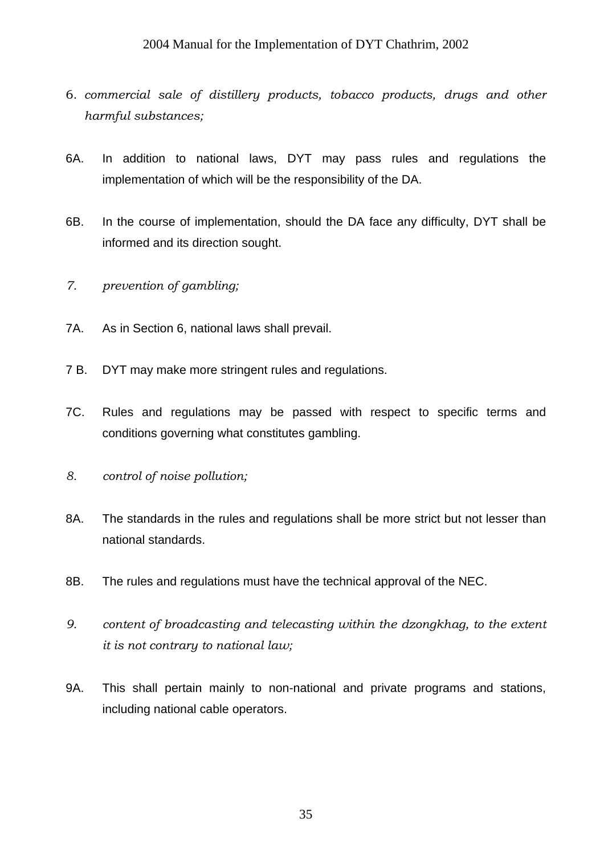- 6. *commercial sale of distillery products, tobacco products, drugs and other harmful substances;*
- 6A. In addition to national laws, DYT may pass rules and regulations the implementation of which will be the responsibility of the DA.
- 6B. In the course of implementation, should the DA face any difficulty, DYT shall be informed and its direction sought.
- *7. prevention of gambling;*
- 7A. As in Section 6, national laws shall prevail.
- 7 B. DYT may make more stringent rules and regulations.
- 7C. Rules and regulations may be passed with respect to specific terms and conditions governing what constitutes gambling.
- *8. control of noise pollution;*
- 8A. The standards in the rules and regulations shall be more strict but not lesser than national standards.
- 8B. The rules and regulations must have the technical approval of the NEC.
- *9. content of broadcasting and telecasting within the dzongkhag, to the extent it is not contrary to national law;*
- 9A. This shall pertain mainly to non-national and private programs and stations, including national cable operators.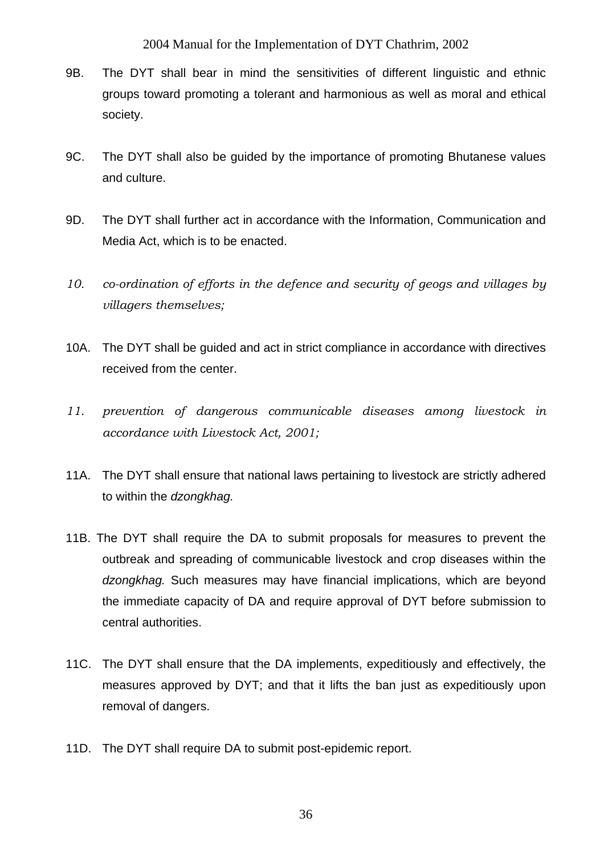- 9B. The DYT shall bear in mind the sensitivities of different linguistic and ethnic groups toward promoting a tolerant and harmonious as well as moral and ethical society.
- 9C. The DYT shall also be guided by the importance of promoting Bhutanese values and culture.
- 9D. The DYT shall further act in accordance with the Information, Communication and Media Act, which is to be enacted.
- *10. co-ordination of efforts in the defence and security of geogs and villages by villagers themselves;*
- 10A. The DYT shall be guided and act in strict compliance in accordance with directives received from the center.
- *11. prevention of dangerous communicable diseases among livestock in accordance with Livestock Act, 2001;*
- 11A. The DYT shall ensure that national laws pertaining to livestock are strictly adhered to within the *dzongkhag.*
- 11B. The DYT shall require the DA to submit proposals for measures to prevent the outbreak and spreading of communicable livestock and crop diseases within the *dzongkhag.* Such measures may have financial implications, which are beyond the immediate capacity of DA and require approval of DYT before submission to central authorities.
- 11C. The DYT shall ensure that the DA implements, expeditiously and effectively, the measures approved by DYT; and that it lifts the ban just as expeditiously upon removal of dangers.
- 11D. The DYT shall require DA to submit post-epidemic report.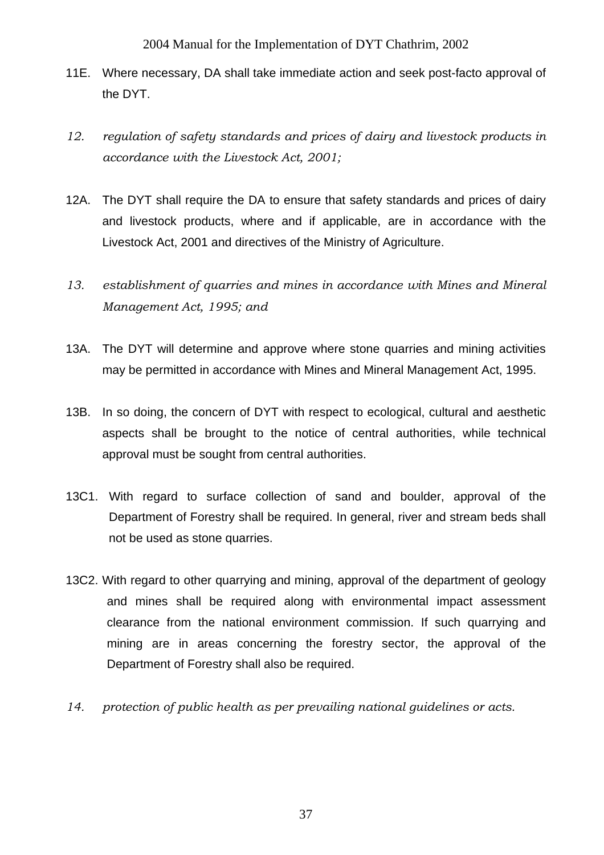- 11E. Where necessary, DA shall take immediate action and seek post-facto approval of the DYT.
- 12. regulation of safety standards and prices of dairy and livestock products in *accordance with the Livestock Act, 2001;*
- 12A. The DYT shall require the DA to ensure that safety standards and prices of dairy and livestock products, where and if applicable, are in accordance with the Livestock Act, 2001 and directives of the Ministry of Agriculture.
- *13. establishment of quarries and mines in accordance with Mines and Mineral Management Act, 1995; and*
- 13A. The DYT will determine and approve where stone quarries and mining activities may be permitted in accordance with Mines and Mineral Management Act, 1995.
- 13B. In so doing, the concern of DYT with respect to ecological, cultural and aesthetic aspects shall be brought to the notice of central authorities, while technical approval must be sought from central authorities.
- 13C1. With regard to surface collection of sand and boulder, approval of the Department of Forestry shall be required. In general, river and stream beds shall not be used as stone quarries.
- 13C2. With regard to other quarrying and mining, approval of the department of geology and mines shall be required along with environmental impact assessment clearance from the national environment commission. If such quarrying and mining are in areas concerning the forestry sector, the approval of the Department of Forestry shall also be required.
- *14. protection of public health as per prevailing national guidelines or acts.*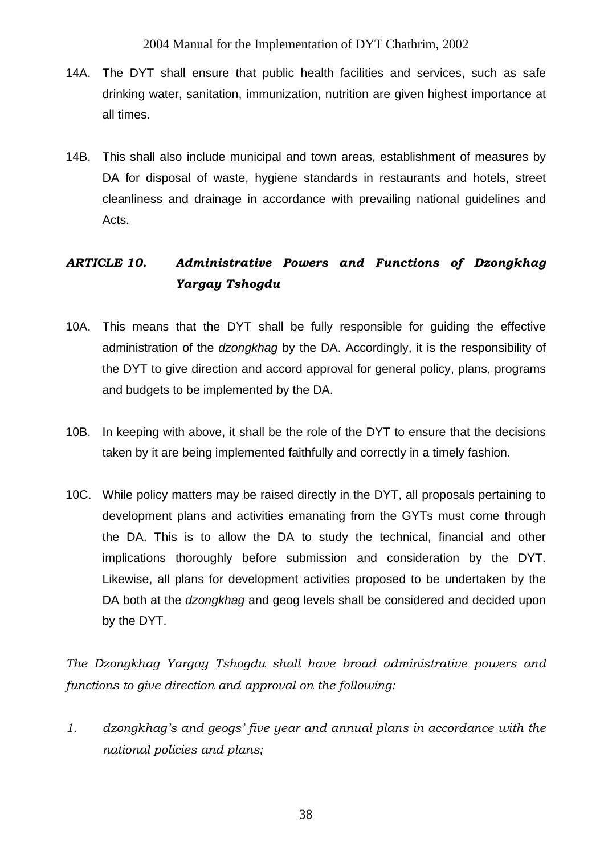- 14A. The DYT shall ensure that public health facilities and services, such as safe drinking water, sanitation, immunization, nutrition are given highest importance at all times.
- 14B. This shall also include municipal and town areas, establishment of measures by DA for disposal of waste, hygiene standards in restaurants and hotels, street cleanliness and drainage in accordance with prevailing national guidelines and Acts.

# *ARTICLE 10. Administrative Powers and Functions of Dzongkhag Yargay Tshogdu*

- 10A. This means that the DYT shall be fully responsible for guiding the effective administration of the *dzongkhag* by the DA. Accordingly, it is the responsibility of the DYT to give direction and accord approval for general policy, plans, programs and budgets to be implemented by the DA.
- 10B. In keeping with above, it shall be the role of the DYT to ensure that the decisions taken by it are being implemented faithfully and correctly in a timely fashion.
- 10C. While policy matters may be raised directly in the DYT, all proposals pertaining to development plans and activities emanating from the GYTs must come through the DA. This is to allow the DA to study the technical, financial and other implications thoroughly before submission and consideration by the DYT. Likewise, all plans for development activities proposed to be undertaken by the DA both at the *dzongkhag* and geog levels shall be considered and decided upon by the DYT.

*The Dzongkhag Yargay Tshogdu shall have broad administrative powers and functions to give direction and approval on the following:* 

*1. dzongkhag's and geogs' five year and annual plans in accordance with the national policies and plans;*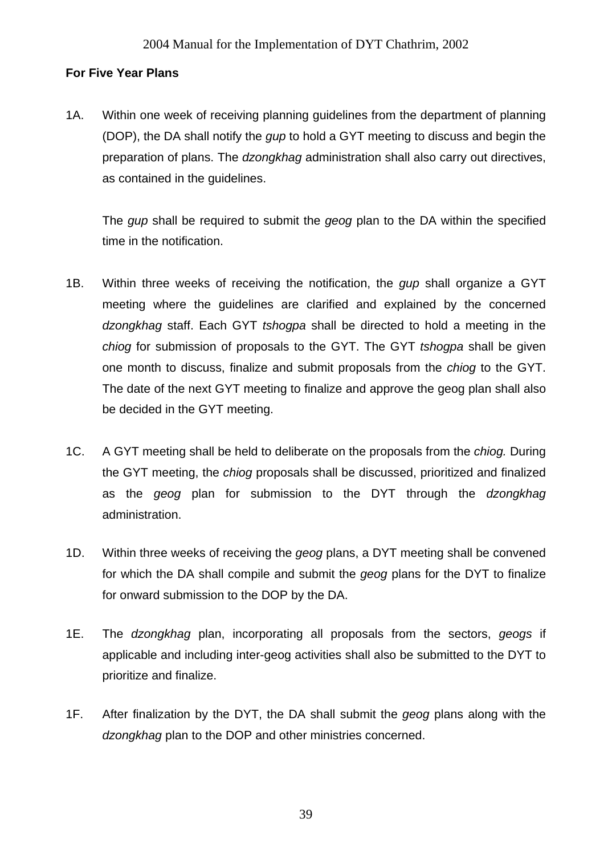#### **For Five Year Plans**

1A. Within one week of receiving planning guidelines from the department of planning (DOP), the DA shall notify the *gup* to hold a GYT meeting to discuss and begin the preparation of plans. The *dzongkhag* administration shall also carry out directives, as contained in the guidelines.

The *gup* shall be required to submit the *geog* plan to the DA within the specified time in the notification.

- 1B. Within three weeks of receiving the notification, the *gup* shall organize a GYT meeting where the guidelines are clarified and explained by the concerned *dzongkhag* staff. Each GYT *tshogpa* shall be directed to hold a meeting in the *chiog* for submission of proposals to the GYT. The GYT *tshogpa* shall be given one month to discuss, finalize and submit proposals from the *chiog* to the GYT. The date of the next GYT meeting to finalize and approve the geog plan shall also be decided in the GYT meeting.
- 1C. A GYT meeting shall be held to deliberate on the proposals from the *chiog.* During the GYT meeting, the *chiog* proposals shall be discussed, prioritized and finalized as the *geog* plan for submission to the DYT through the *dzongkhag* administration.
- 1D. Within three weeks of receiving the *geog* plans, a DYT meeting shall be convened for which the DA shall compile and submit the *geog* plans for the DYT to finalize for onward submission to the DOP by the DA.
- 1E. The *dzongkhag* plan, incorporating all proposals from the sectors, *geogs* if applicable and including inter-geog activities shall also be submitted to the DYT to prioritize and finalize.
- 1F. After finalization by the DYT, the DA shall submit the *geog* plans along with the *dzongkhag* plan to the DOP and other ministries concerned.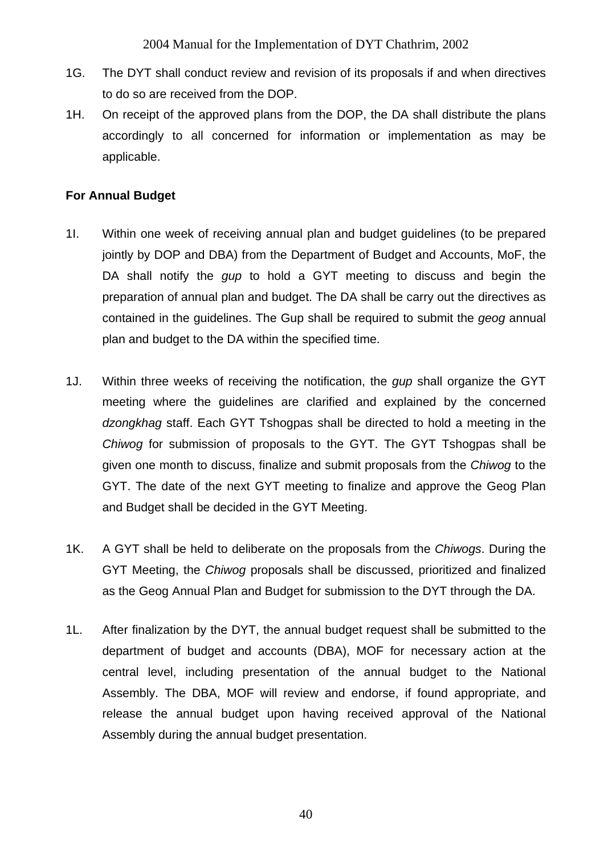- 1G. The DYT shall conduct review and revision of its proposals if and when directives to do so are received from the DOP.
- 1H. On receipt of the approved plans from the DOP, the DA shall distribute the plans accordingly to all concerned for information or implementation as may be applicable.

## **For Annual Budget**

- 1I. Within one week of receiving annual plan and budget guidelines (to be prepared jointly by DOP and DBA) from the Department of Budget and Accounts, MoF, the DA shall notify the *gup* to hold a GYT meeting to discuss and begin the preparation of annual plan and budget. The DA shall be carry out the directives as contained in the guidelines. The Gup shall be required to submit the *geog* annual plan and budget to the DA within the specified time.
- 1J. Within three weeks of receiving the notification, the *gup* shall organize the GYT meeting where the guidelines are clarified and explained by the concerned *dzongkhag* staff. Each GYT Tshogpas shall be directed to hold a meeting in the *Chiwog* for submission of proposals to the GYT. The GYT Tshogpas shall be given one month to discuss, finalize and submit proposals from the *Chiwog* to the GYT. The date of the next GYT meeting to finalize and approve the Geog Plan and Budget shall be decided in the GYT Meeting.
- 1K. A GYT shall be held to deliberate on the proposals from the *Chiwogs*. During the GYT Meeting, the *Chiwog* proposals shall be discussed, prioritized and finalized as the Geog Annual Plan and Budget for submission to the DYT through the DA.
- 1L. After finalization by the DYT, the annual budget request shall be submitted to the department of budget and accounts (DBA), MOF for necessary action at the central level, including presentation of the annual budget to the National Assembly. The DBA, MOF will review and endorse, if found appropriate, and release the annual budget upon having received approval of the National Assembly during the annual budget presentation.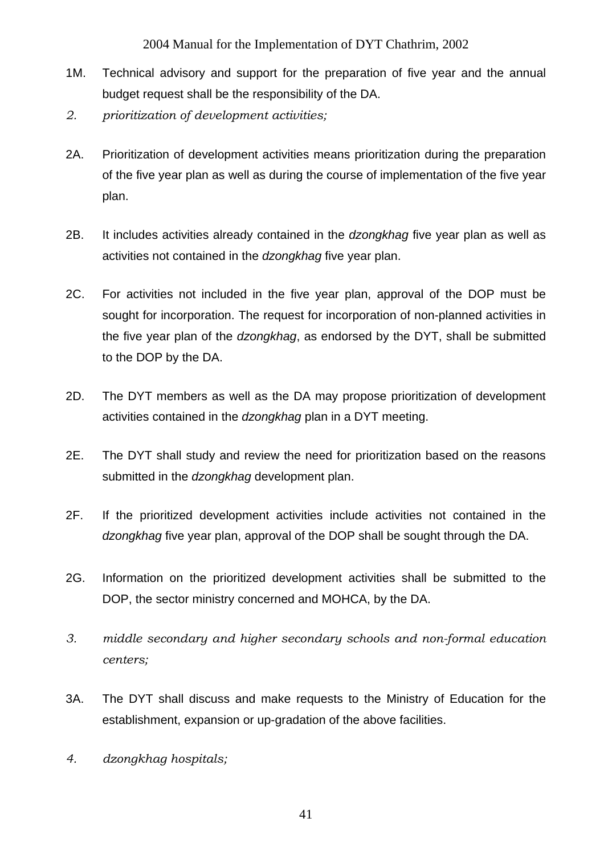- 1M. Technical advisory and support for the preparation of five year and the annual budget request shall be the responsibility of the DA.
- *2. prioritization of development activities;*
- 2A. Prioritization of development activities means prioritization during the preparation of the five year plan as well as during the course of implementation of the five year plan.
- 2B. It includes activities already contained in the *dzongkhag* five year plan as well as activities not contained in the *dzongkhag* five year plan.
- 2C. For activities not included in the five year plan, approval of the DOP must be sought for incorporation. The request for incorporation of non-planned activities in the five year plan of the *dzongkhag*, as endorsed by the DYT, shall be submitted to the DOP by the DA.
- 2D. The DYT members as well as the DA may propose prioritization of development activities contained in the *dzongkhag* plan in a DYT meeting.
- 2E. The DYT shall study and review the need for prioritization based on the reasons submitted in the *dzongkhag* development plan.
- 2F. If the prioritized development activities include activities not contained in the *dzongkhag* five year plan, approval of the DOP shall be sought through the DA.
- 2G. Information on the prioritized development activities shall be submitted to the DOP, the sector ministry concerned and MOHCA, by the DA.
- *3. middle secondary and higher secondary schools and non-formal education centers;*
- 3A. The DYT shall discuss and make requests to the Ministry of Education for the establishment, expansion or up-gradation of the above facilities.
- *4. dzongkhag hospitals;*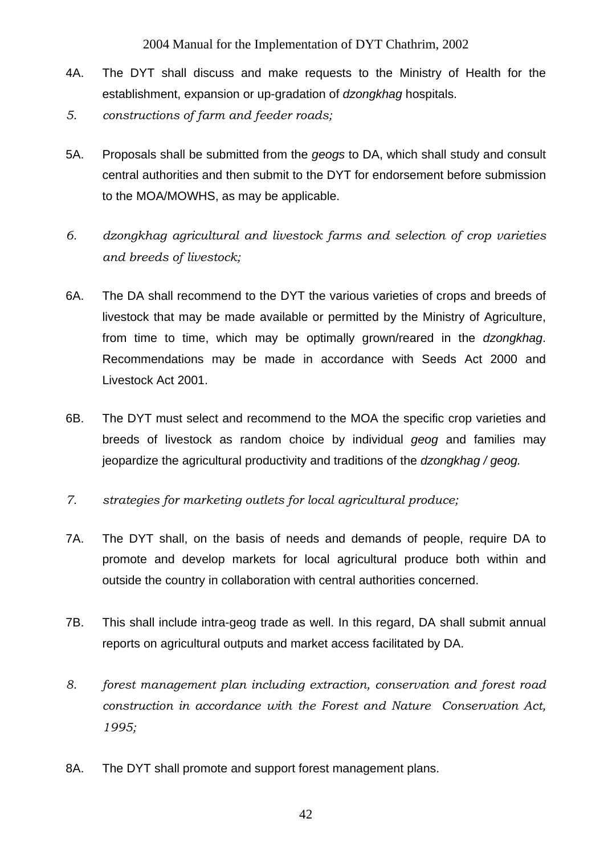- 4A. The DYT shall discuss and make requests to the Ministry of Health for the establishment, expansion or up-gradation of *dzongkhag* hospitals.
- *5. constructions of farm and feeder roads;*
- 5A. Proposals shall be submitted from the *geogs* to DA, which shall study and consult central authorities and then submit to the DYT for endorsement before submission to the MOA/MOWHS, as may be applicable.
- *6. dzongkhag agricultural and livestock farms and selection of crop varieties and breeds of livestock;*
- 6A. The DA shall recommend to the DYT the various varieties of crops and breeds of livestock that may be made available or permitted by the Ministry of Agriculture, from time to time, which may be optimally grown/reared in the *dzongkhag*. Recommendations may be made in accordance with Seeds Act 2000 and Livestock Act 2001.
- 6B. The DYT must select and recommend to the MOA the specific crop varieties and breeds of livestock as random choice by individual *geog* and families may jeopardize the agricultural productivity and traditions of the *dzongkhag / geog.*
- *7. strategies for marketing outlets for local agricultural produce;*
- 7A. The DYT shall, on the basis of needs and demands of people, require DA to promote and develop markets for local agricultural produce both within and outside the country in collaboration with central authorities concerned.
- 7B. This shall include intra-geog trade as well. In this regard, DA shall submit annual reports on agricultural outputs and market access facilitated by DA.
- *8. forest management plan including extraction, conservation and forest road construction in accordance with the Forest and Nature Conservation Act, 1995;*
- 8A. The DYT shall promote and support forest management plans.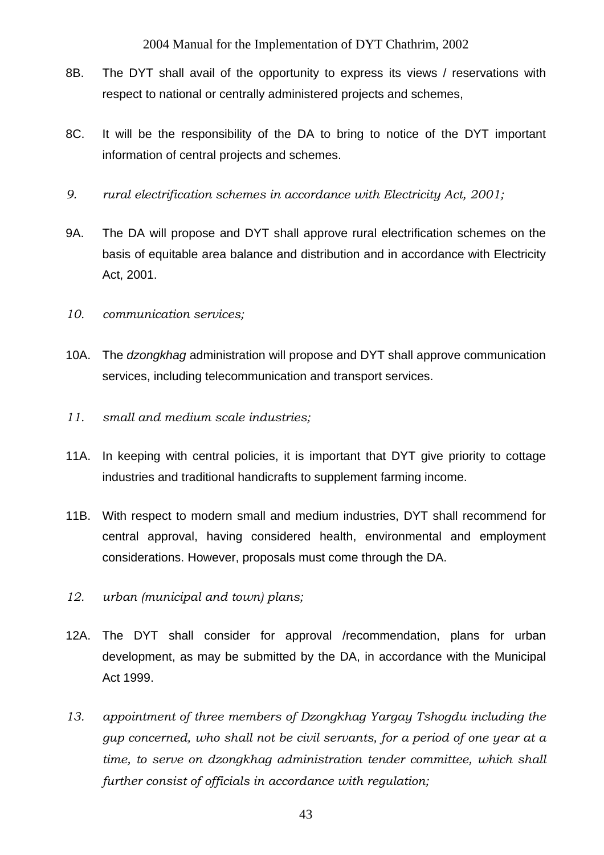- 8B. The DYT shall avail of the opportunity to express its views / reservations with respect to national or centrally administered projects and schemes,
- 8C. It will be the responsibility of the DA to bring to notice of the DYT important information of central projects and schemes.
- *9. rural electrification schemes in accordance with Electricity Act, 2001;*
- 9A. The DA will propose and DYT shall approve rural electrification schemes on the basis of equitable area balance and distribution and in accordance with Electricity Act, 2001.
- *10. communication services;*
- 10A. The *dzongkhag* administration will propose and DYT shall approve communication services, including telecommunication and transport services.
- *11. small and medium scale industries;*
- 11A. In keeping with central policies, it is important that DYT give priority to cottage industries and traditional handicrafts to supplement farming income.
- 11B. With respect to modern small and medium industries, DYT shall recommend for central approval, having considered health, environmental and employment considerations. However, proposals must come through the DA.
- *12. urban (municipal and town) plans;*
- 12A. The DYT shall consider for approval /recommendation, plans for urban development, as may be submitted by the DA, in accordance with the Municipal Act 1999.
- *13. appointment of three members of Dzongkhag Yargay Tshogdu including the gup concerned, who shall not be civil servants, for a period of one year at a time, to serve on dzongkhag administration tender committee, which shall further consist of officials in accordance with regulation;*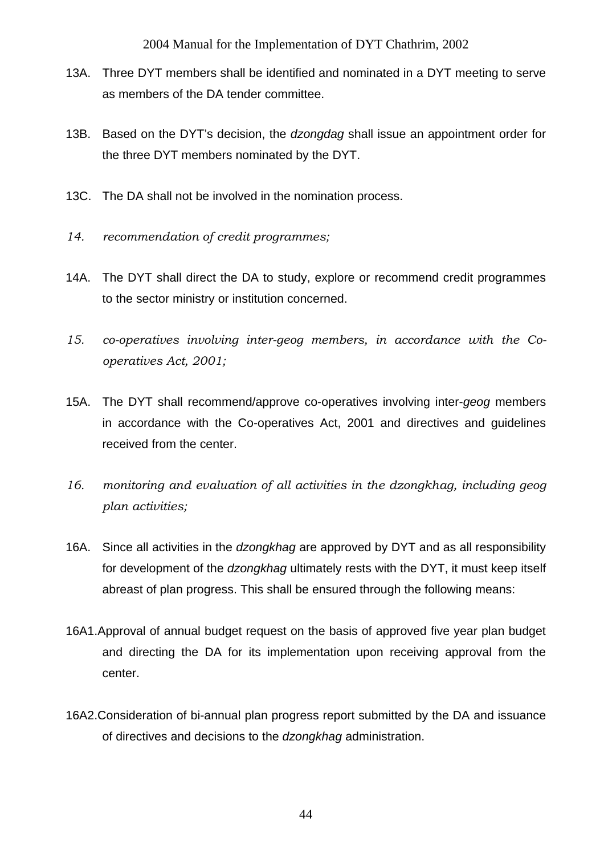- 13A. Three DYT members shall be identified and nominated in a DYT meeting to serve as members of the DA tender committee.
- 13B. Based on the DYT's decision, the *dzongdag* shall issue an appointment order for the three DYT members nominated by the DYT.
- 13C. The DA shall not be involved in the nomination process.
- *14. recommendation of credit programmes;*
- 14A. The DYT shall direct the DA to study, explore or recommend credit programmes to the sector ministry or institution concerned.
- *15. co-operatives involving inter-geog members, in accordance with the Cooperatives Act, 2001;*
- 15A. The DYT shall recommend/approve co-operatives involving inter-*geog* members in accordance with the Co-operatives Act, 2001 and directives and guidelines received from the center.
- *16. monitoring and evaluation of all activities in the dzongkhag, including geog plan activities;*
- 16A. Since all activities in the *dzongkhag* are approved by DYT and as all responsibility for development of the *dzongkhag* ultimately rests with the DYT, it must keep itself abreast of plan progress. This shall be ensured through the following means:
- 16A1.Approval of annual budget request on the basis of approved five year plan budget and directing the DA for its implementation upon receiving approval from the center.
- 16A2.Consideration of bi-annual plan progress report submitted by the DA and issuance of directives and decisions to the *dzongkhag* administration.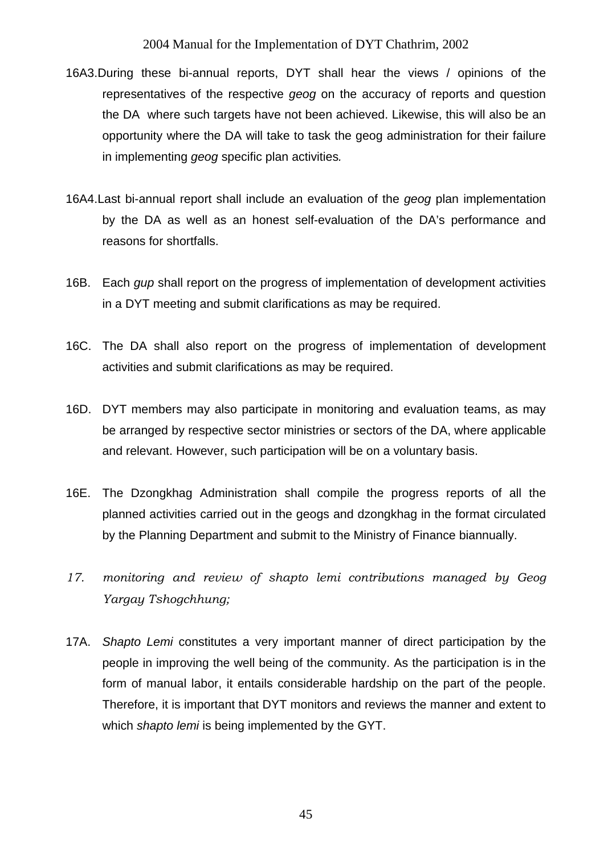- 16A3.During these bi-annual reports, DYT shall hear the views / opinions of the representatives of the respective *geog* on the accuracy of reports and question the DA where such targets have not been achieved. Likewise, this will also be an opportunity where the DA will take to task the geog administration for their failure in implementing *geog* specific plan activities*.*
- 16A4.Last bi-annual report shall include an evaluation of the *geog* plan implementation by the DA as well as an honest self-evaluation of the DA's performance and reasons for shortfalls.
- 16B. Each *gup* shall report on the progress of implementation of development activities in a DYT meeting and submit clarifications as may be required.
- 16C. The DA shall also report on the progress of implementation of development activities and submit clarifications as may be required.
- 16D. DYT members may also participate in monitoring and evaluation teams, as may be arranged by respective sector ministries or sectors of the DA, where applicable and relevant. However, such participation will be on a voluntary basis.
- 16E. The Dzongkhag Administration shall compile the progress reports of all the planned activities carried out in the geogs and dzongkhag in the format circulated by the Planning Department and submit to the Ministry of Finance biannually.
- *17. monitoring and review of shapto lemi contributions managed by Geog Yargay Tshogchhung;*
- 17A. *Shapto Lemi* constitutes a very important manner of direct participation by the people in improving the well being of the community. As the participation is in the form of manual labor, it entails considerable hardship on the part of the people. Therefore, it is important that DYT monitors and reviews the manner and extent to which *shapto lemi* is being implemented by the GYT.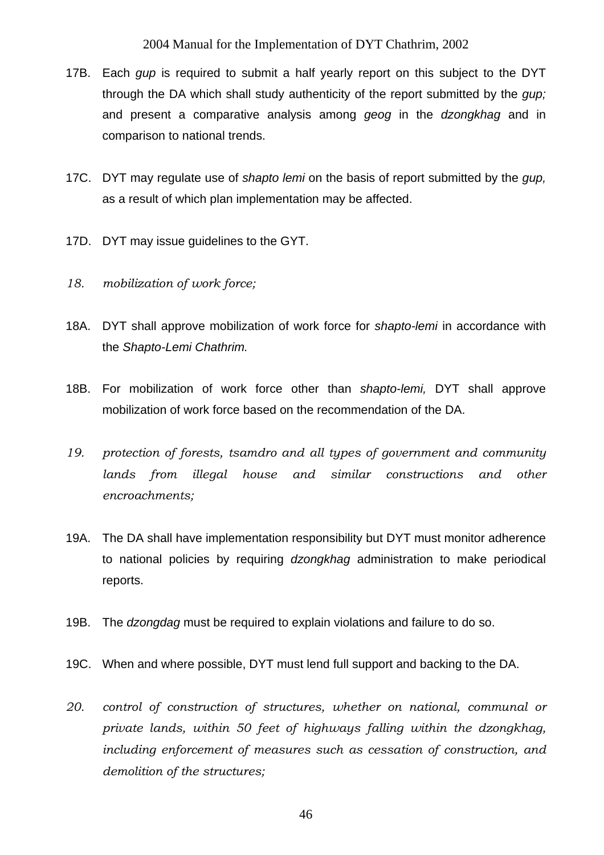- 17B. Each *gup* is required to submit a half yearly report on this subject to the DYT through the DA which shall study authenticity of the report submitted by the *gup;* and present a comparative analysis among *geog* in the *dzongkhag* and in comparison to national trends.
- 17C. DYT may regulate use of *shapto lemi* on the basis of report submitted by the *gup,* as a result of which plan implementation may be affected.
- 17D. DYT may issue guidelines to the GYT.
- *18. mobilization of work force;*
- 18A. DYT shall approve mobilization of work force for *shapto-lemi* in accordance with the *Shapto-Lemi Chathrim.*
- 18B. For mobilization of work force other than *shapto-lemi,* DYT shall approve mobilization of work force based on the recommendation of the DA.
- *19. protection of forests, tsamdro and all types of government and community lands from illegal house and similar constructions and other encroachments;*
- 19A. The DA shall have implementation responsibility but DYT must monitor adherence to national policies by requiring *dzongkhag* administration to make periodical reports.
- 19B. The *dzongdag* must be required to explain violations and failure to do so.
- 19C. When and where possible, DYT must lend full support and backing to the DA.
- *20. control of construction of structures, whether on national, communal or private lands, within 50 feet of highways falling within the dzongkhag, including enforcement of measures such as cessation of construction, and demolition of the structures;*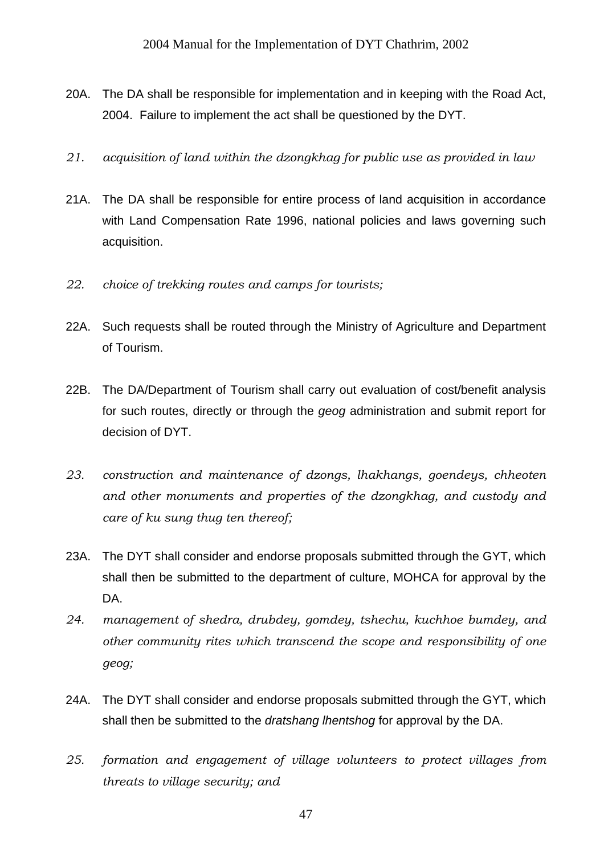- 20A. The DA shall be responsible for implementation and in keeping with the Road Act, 2004. Failure to implement the act shall be questioned by the DYT.
- *21. acquisition of land within the dzongkhag for public use as provided in law*
- 21A. The DA shall be responsible for entire process of land acquisition in accordance with Land Compensation Rate 1996, national policies and laws governing such acquisition.
- *22. choice of trekking routes and camps for tourists;*
- 22A. Such requests shall be routed through the Ministry of Agriculture and Department of Tourism.
- 22B. The DA/Department of Tourism shall carry out evaluation of cost/benefit analysis for such routes, directly or through the *geog* administration and submit report for decision of DYT.
- *23. construction and maintenance of dzongs, lhakhangs, goendeys, chheoten and other monuments and properties of the dzongkhag, and custody and care of ku sung thug ten thereof;*
- 23A. The DYT shall consider and endorse proposals submitted through the GYT, which shall then be submitted to the department of culture, MOHCA for approval by the DA.
- *24. management of shedra, drubdey, gomdey, tshechu, kuchhoe bumdey, and other community rites which transcend the scope and responsibility of one geog;*
- 24A. The DYT shall consider and endorse proposals submitted through the GYT, which shall then be submitted to the *dratshang lhentshog* for approval by the DA.
- *25. formation and engagement of village volunteers to protect villages from threats to village security; and*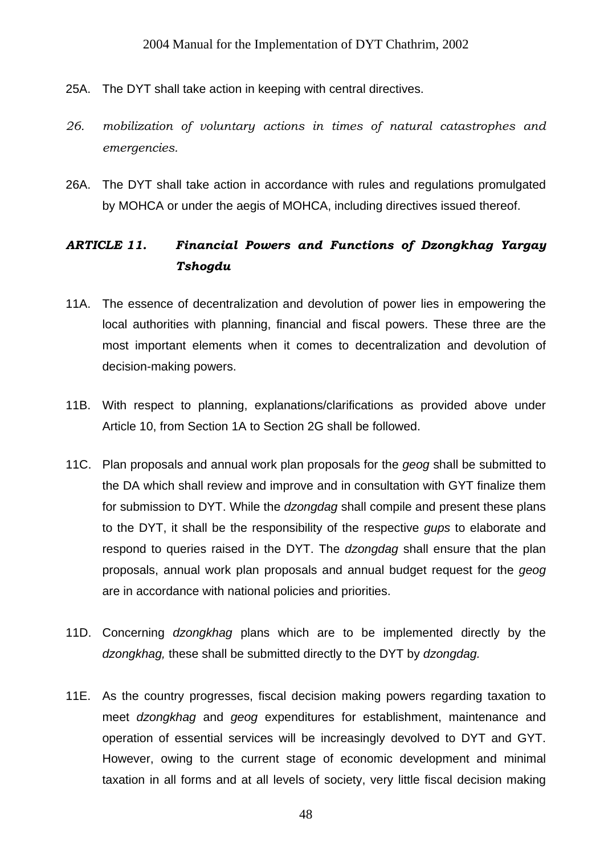- 25A. The DYT shall take action in keeping with central directives.
- *26. mobilization of voluntary actions in times of natural catastrophes and emergencies.*
- 26A. The DYT shall take action in accordance with rules and regulations promulgated by MOHCA or under the aegis of MOHCA, including directives issued thereof.

## *ARTICLE 11. Financial Powers and Functions of Dzongkhag Yargay Tshogdu*

- 11A. The essence of decentralization and devolution of power lies in empowering the local authorities with planning, financial and fiscal powers. These three are the most important elements when it comes to decentralization and devolution of decision-making powers.
- 11B. With respect to planning, explanations/clarifications as provided above under Article 10, from Section 1A to Section 2G shall be followed.
- 11C. Plan proposals and annual work plan proposals for the *geog* shall be submitted to the DA which shall review and improve and in consultation with GYT finalize them for submission to DYT. While the *dzongdag* shall compile and present these plans to the DYT, it shall be the responsibility of the respective *gups* to elaborate and respond to queries raised in the DYT. The *dzongdag* shall ensure that the plan proposals, annual work plan proposals and annual budget request for the *geog* are in accordance with national policies and priorities.
- 11D. Concerning *dzongkhag* plans which are to be implemented directly by the *dzongkhag,* these shall be submitted directly to the DYT by *dzongdag.*
- 11E. As the country progresses, fiscal decision making powers regarding taxation to meet *dzongkhag* and *geog* expenditures for establishment, maintenance and operation of essential services will be increasingly devolved to DYT and GYT. However, owing to the current stage of economic development and minimal taxation in all forms and at all levels of society, very little fiscal decision making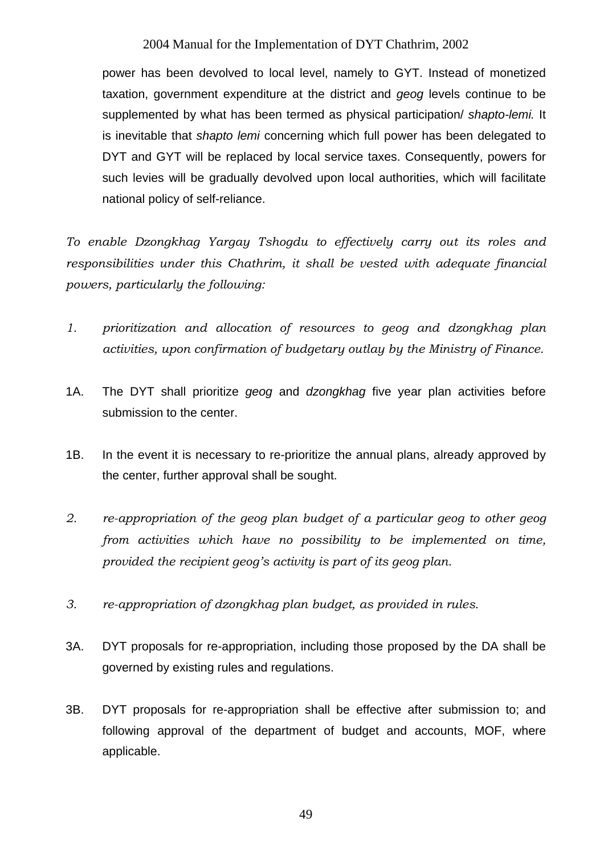power has been devolved to local level, namely to GYT. Instead of monetized taxation, government expenditure at the district and *geog* levels continue to be supplemented by what has been termed as physical participation/ *shapto-lemi.* It is inevitable that *shapto lemi* concerning which full power has been delegated to DYT and GYT will be replaced by local service taxes. Consequently, powers for such levies will be gradually devolved upon local authorities, which will facilitate national policy of self-reliance.

*To enable Dzongkhag Yargay Tshogdu to effectively carry out its roles and responsibilities under this Chathrim, it shall be vested with adequate financial powers, particularly the following:* 

- *1. prioritization and allocation of resources to geog and dzongkhag plan activities, upon confirmation of budgetary outlay by the Ministry of Finance.*
- 1A. The DYT shall prioritize *geog* and *dzongkhag* five year plan activities before submission to the center.
- 1B. In the event it is necessary to re-prioritize the annual plans, already approved by the center, further approval shall be sought.
- *2. re-appropriation of the geog plan budget of a particular geog to other geog from activities which have no possibility to be implemented on time, provided the recipient geog's activity is part of its geog plan.*
- *3. re-appropriation of dzongkhag plan budget, as provided in rules.*
- 3A. DYT proposals for re-appropriation, including those proposed by the DA shall be governed by existing rules and regulations.
- 3B. DYT proposals for re-appropriation shall be effective after submission to; and following approval of the department of budget and accounts, MOF, where applicable.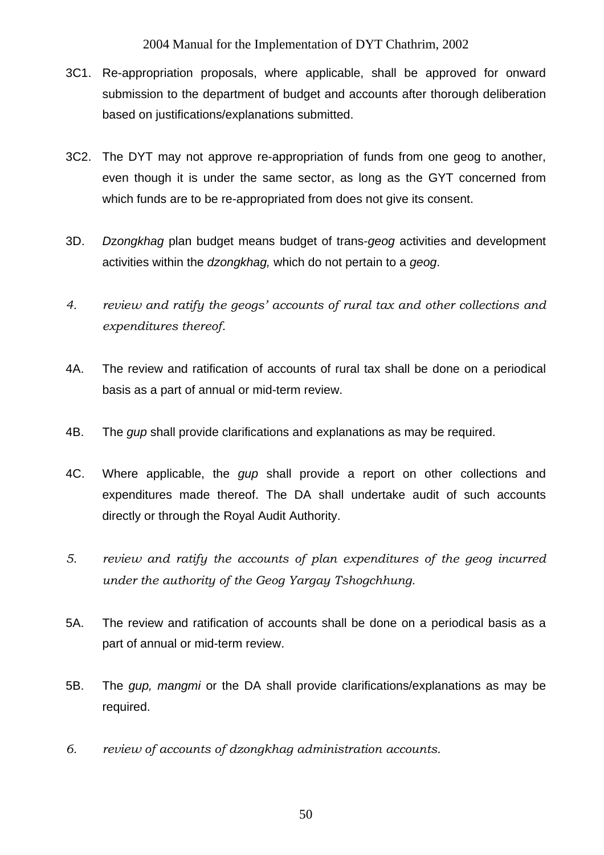- 3C1. Re-appropriation proposals, where applicable, shall be approved for onward submission to the department of budget and accounts after thorough deliberation based on justifications/explanations submitted.
- 3C2. The DYT may not approve re-appropriation of funds from one geog to another, even though it is under the same sector, as long as the GYT concerned from which funds are to be re-appropriated from does not give its consent.
- 3D. *D*z*ongkhag* plan budget means budget of trans-*geog* activities and development activities within the *dzongkhag,* which do not pertain to a *geog*.
- *4. review and ratify the geogs' accounts of rural tax and other collections and expenditures thereof.*
- 4A. The review and ratification of accounts of rural tax shall be done on a periodical basis as a part of annual or mid-term review.
- 4B. The *gup* shall provide clarifications and explanations as may be required.
- 4C. Where applicable, the *gup* shall provide a report on other collections and expenditures made thereof. The DA shall undertake audit of such accounts directly or through the Royal Audit Authority.
- *5. review and ratify the accounts of plan expenditures of the geog incurred under the authority of the Geog Yargay Tshogchhung.*
- 5A. The review and ratification of accounts shall be done on a periodical basis as a part of annual or mid-term review.
- 5B. The *gup, mangmi* or the DA shall provide clarifications/explanations as may be required.
- *6. review of accounts of dzongkhag administration accounts.*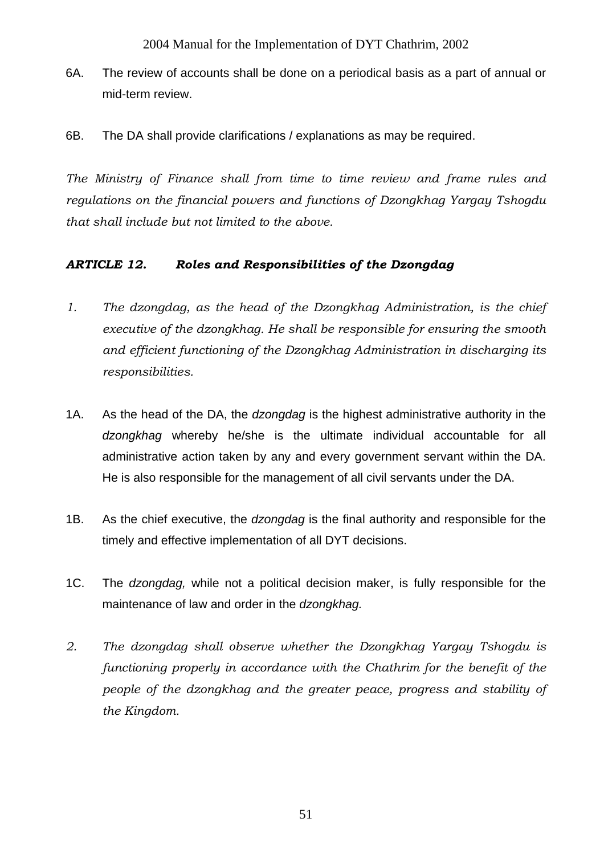- 6A. The review of accounts shall be done on a periodical basis as a part of annual or mid-term review.
- 6B. The DA shall provide clarifications / explanations as may be required.

*The Ministry of Finance shall from time to time review and frame rules and regulations on the financial powers and functions of Dzongkhag Yargay Tshogdu that shall include but not limited to the above.* 

## *ARTICLE 12. Roles and Responsibilities of the Dzongdag*

- *1. The dzongdag, as the head of the Dzongkhag Administration, is the chief executive of the dzongkhag. He shall be responsible for ensuring the smooth and efficient functioning of the Dzongkhag Administration in discharging its responsibilities.*
- 1A. As the head of the DA, the *dzongdag* is the highest administrative authority in the *dzongkhag* whereby he/she is the ultimate individual accountable for all administrative action taken by any and every government servant within the DA. He is also responsible for the management of all civil servants under the DA.
- 1B. As the chief executive, the *dzongdag* is the final authority and responsible for the timely and effective implementation of all DYT decisions.
- 1C. The *dzongdag,* while not a political decision maker, is fully responsible for the maintenance of law and order in the *dzongkhag.*
- *2. The dzongdag shall observe whether the Dzongkhag Yargay Tshogdu is functioning properly in accordance with the Chathrim for the benefit of the people of the dzongkhag and the greater peace, progress and stability of the Kingdom.*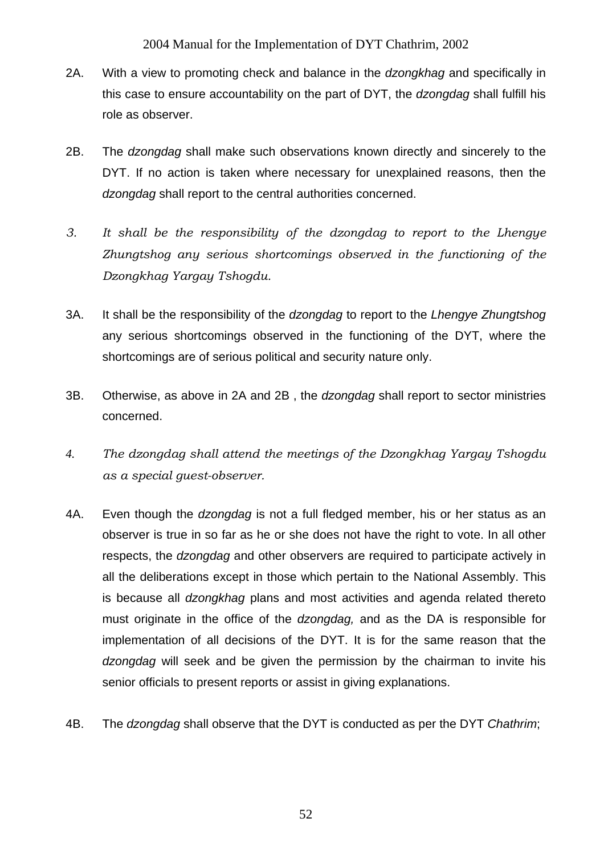- 2A. With a view to promoting check and balance in the *dzongkhag* and specifically in this case to ensure accountability on the part of DYT, the *dzongdag* shall fulfill his role as observer.
- 2B. The *dzongdag* shall make such observations known directly and sincerely to the DYT. If no action is taken where necessary for unexplained reasons, then the *dzongdag* shall report to the central authorities concerned.
- *3. It shall be the responsibility of the dzongdag to report to the Lhengye Zhungtshog any serious shortcomings observed in the functioning of the Dzongkhag Yargay Tshogdu.*
- 3A. It shall be the responsibility of the *dzongdag* to report to the *Lhengye Zhungtshog*  any serious shortcomings observed in the functioning of the DYT, where the shortcomings are of serious political and security nature only.
- 3B. Otherwise, as above in 2A and 2B , the *dzongdag* shall report to sector ministries concerned.
- *4. The dzongdag shall attend the meetings of the Dzongkhag Yargay Tshogdu as a special guest-observer.*
- 4A. Even though the *dzongdag* is not a full fledged member, his or her status as an observer is true in so far as he or she does not have the right to vote. In all other respects, the *dzongdag* and other observers are required to participate actively in all the deliberations except in those which pertain to the National Assembly. This is because all *dzongkhag* plans and most activities and agenda related thereto must originate in the office of the *dzongdag,* and as the DA is responsible for implementation of all decisions of the DYT. It is for the same reason that the *dzongdag* will seek and be given the permission by the chairman to invite his senior officials to present reports or assist in giving explanations.
- 4B. The *dzongdag* shall observe that the DYT is conducted as per the DYT *Chathrim*;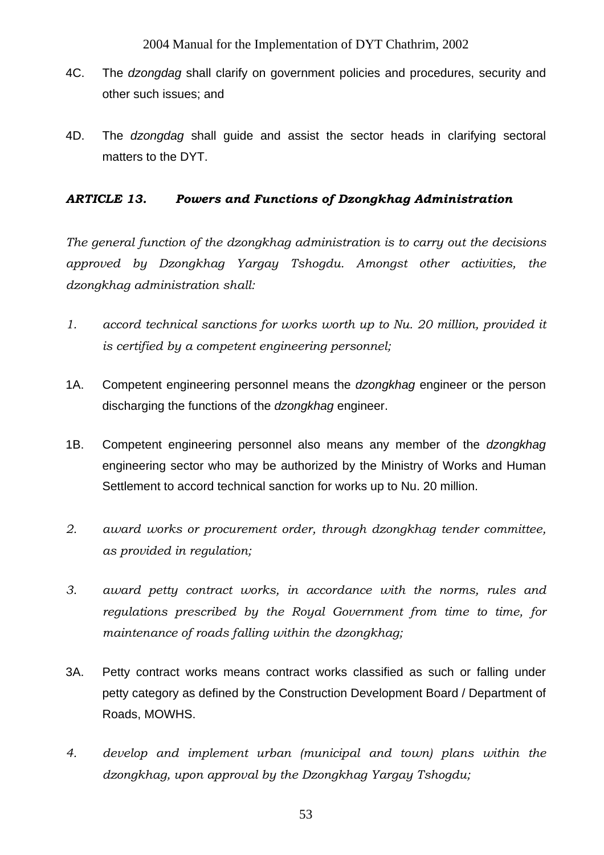- 4C. The *dzongdag* shall clarify on government policies and procedures, security and other such issues; and
- 4D. The *dzongdag* shall guide and assist the sector heads in clarifying sectoral matters to the DYT.

### *ARTICLE 13. Powers and Functions of Dzongkhag Administration*

*The general function of the dzongkhag administration is to carry out the decisions approved by Dzongkhag Yargay Tshogdu. Amongst other activities, the dzongkhag administration shall:* 

- *1. accord technical sanctions for works worth up to Nu. 20 million, provided it is certified by a competent engineering personnel;*
- 1A. Competent engineering personnel means the *dzongkhag* engineer or the person discharging the functions of the *dzongkhag* engineer.
- 1B. Competent engineering personnel also means any member of the *dzongkhag* engineering sector who may be authorized by the Ministry of Works and Human Settlement to accord technical sanction for works up to Nu. 20 million.
- *2. award works or procurement order, through dzongkhag tender committee, as provided in regulation;*
- *3. award petty contract works, in accordance with the norms, rules and regulations prescribed by the Royal Government from time to time, for maintenance of roads falling within the dzongkhag;*
- 3A. Petty contract works means contract works classified as such or falling under petty category as defined by the Construction Development Board / Department of Roads, MOWHS.
- *4. develop and implement urban (municipal and town) plans within the dzongkhag, upon approval by the Dzongkhag Yargay Tshogdu;*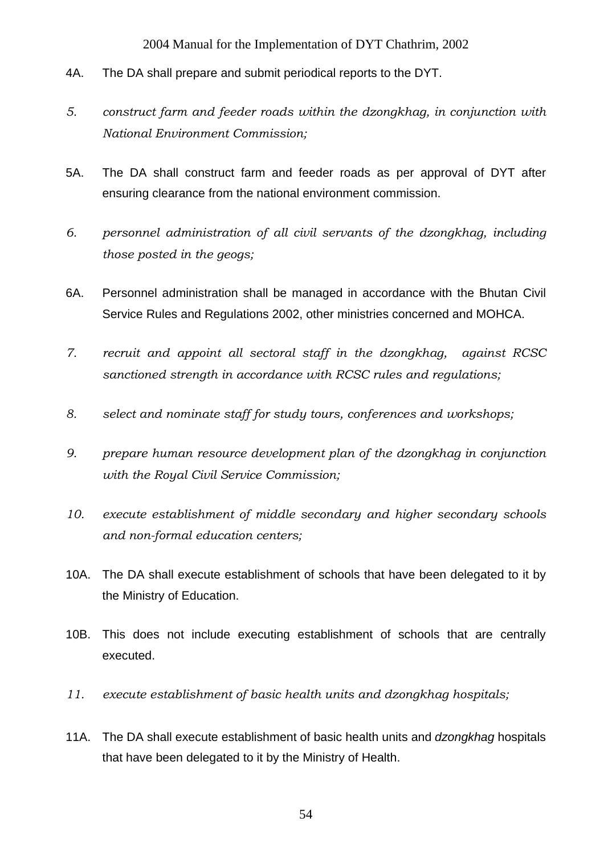- 4A. The DA shall prepare and submit periodical reports to the DYT.
- *5. construct farm and feeder roads within the dzongkhag, in conjunction with National Environment Commission;*
- 5A. The DA shall construct farm and feeder roads as per approval of DYT after ensuring clearance from the national environment commission.
- *6. personnel administration of all civil servants of the dzongkhag, including those posted in the geogs;*
- 6A. Personnel administration shall be managed in accordance with the Bhutan Civil Service Rules and Regulations 2002, other ministries concerned and MOHCA.
- *7. recruit and appoint all sectoral staff in the dzongkhag, against RCSC sanctioned strength in accordance with RCSC rules and regulations;*
- *8. select and nominate staff for study tours, conferences and workshops;*
- *9. prepare human resource development plan of the dzongkhag in conjunction with the Royal Civil Service Commission;*
- *10. execute establishment of middle secondary and higher secondary schools and non-formal education centers;*
- 10A. The DA shall execute establishment of schools that have been delegated to it by the Ministry of Education.
- 10B. This does not include executing establishment of schools that are centrally executed.
- *11. execute establishment of basic health units and dzongkhag hospitals;*
- 11A. The DA shall execute establishment of basic health units and *dzongkhag* hospitals that have been delegated to it by the Ministry of Health.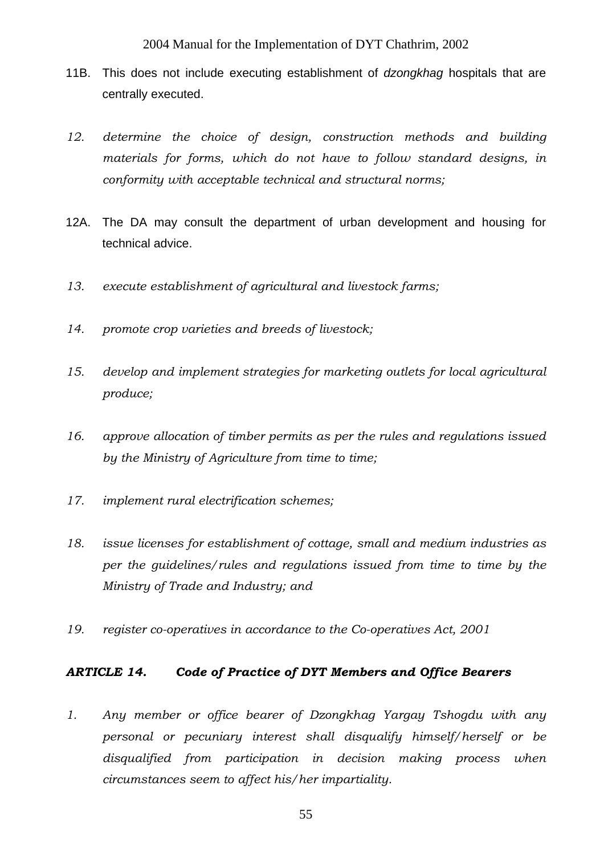- 11B. This does not include executing establishment of *dzongkhag* hospitals that are centrally executed.
- *12. determine the choice of design, construction methods and building materials for forms, which do not have to follow standard designs, in conformity with acceptable technical and structural norms;*
- 12A. The DA may consult the department of urban development and housing for technical advice.
- *13. execute establishment of agricultural and livestock farms;*
- *14. promote crop varieties and breeds of livestock;*
- *15. develop and implement strategies for marketing outlets for local agricultural produce;*
- *16. approve allocation of timber permits as per the rules and regulations issued by the Ministry of Agriculture from time to time;*
- *17. implement rural electrification schemes;*
- *18. issue licenses for establishment of cottage, small and medium industries as per the guidelines/rules and regulations issued from time to time by the Ministry of Trade and Industry; and*
- *19. register co-operatives in accordance to the Co-operatives Act, 2001*

### *ARTICLE 14. Code of Practice of DYT Members and Office Bearers*

*1. Any member or office bearer of Dzongkhag Yargay Tshogdu with any personal or pecuniary interest shall disqualify himself/herself or be disqualified from participation in decision making process when circumstances seem to affect his/her impartiality.*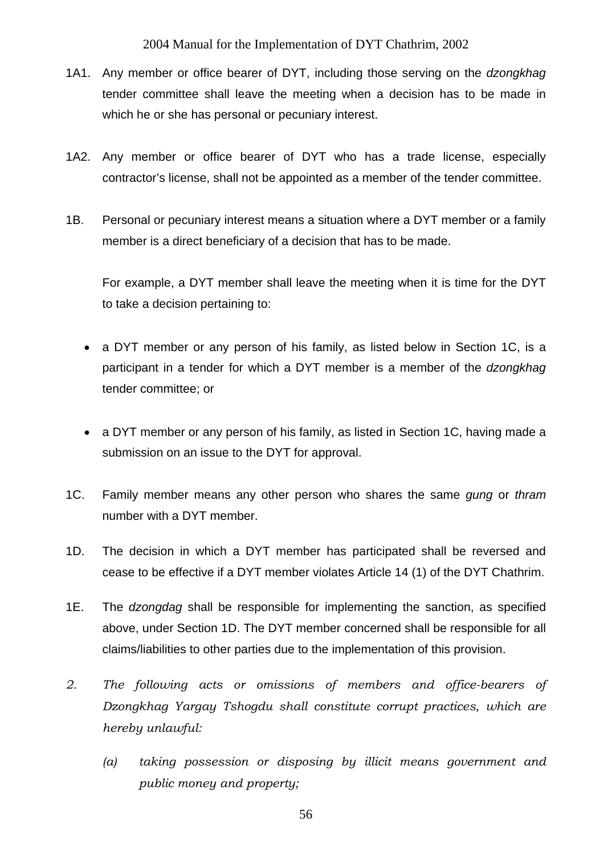- 1A1. Any member or office bearer of DYT, including those serving on the *dzongkhag*  tender committee shall leave the meeting when a decision has to be made in which he or she has personal or pecuniary interest.
- 1A2. Any member or office bearer of DYT who has a trade license, especially contractor's license, shall not be appointed as a member of the tender committee.
- 1B. Personal or pecuniary interest means a situation where a DYT member or a family member is a direct beneficiary of a decision that has to be made.

For example, a DYT member shall leave the meeting when it is time for the DYT to take a decision pertaining to:

- a DYT member or any person of his family, as listed below in Section 1C, is a participant in a tender for which a DYT member is a member of the *dzongkhag*  tender committee; or
- a DYT member or any person of his family, as listed in Section 1C, having made a submission on an issue to the DYT for approval.
- 1C. Family member means any other person who shares the same *gung* or *thram* number with a DYT member.
- 1D. The decision in which a DYT member has participated shall be reversed and cease to be effective if a DYT member violates Article 14 (1) of the DYT Chathrim.
- 1E. The *dzongdag* shall be responsible for implementing the sanction, as specified above, under Section 1D. The DYT member concerned shall be responsible for all claims/liabilities to other parties due to the implementation of this provision.
- *2. The following acts or omissions of members and office-bearers of Dzongkhag Yargay Tshogdu shall constitute corrupt practices, which are hereby unlawful:* 
	- *(a) taking possession or disposing by illicit means government and public money and property;*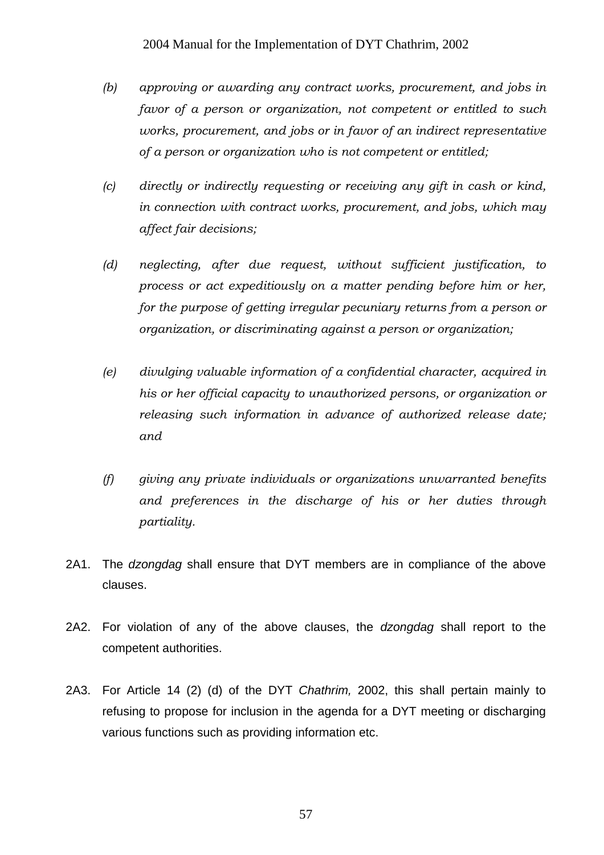- *(b) approving or awarding any contract works, procurement, and jobs in favor of a person or organization, not competent or entitled to such works, procurement, and jobs or in favor of an indirect representative of a person or organization who is not competent or entitled;*
- *(c) directly or indirectly requesting or receiving any gift in cash or kind, in connection with contract works, procurement, and jobs, which may affect fair decisions;*
- *(d) neglecting, after due request, without sufficient justification, to process or act expeditiously on a matter pending before him or her, for the purpose of getting irregular pecuniary returns from a person or organization, or discriminating against a person or organization;*
- *(e) divulging valuable information of a confidential character, acquired in his or her official capacity to unauthorized persons, or organization or releasing such information in advance of authorized release date; and*
- *(f) giving any private individuals or organizations unwarranted benefits and preferences in the discharge of his or her duties through partiality.*
- 2A1. The *dzongdag* shall ensure that DYT members are in compliance of the above clauses.
- 2A2. For violation of any of the above clauses, the *dzongdag* shall report to the competent authorities.
- 2A3. For Article 14 (2) (d) of the DYT *Chathrim,* 2002, this shall pertain mainly to refusing to propose for inclusion in the agenda for a DYT meeting or discharging various functions such as providing information etc.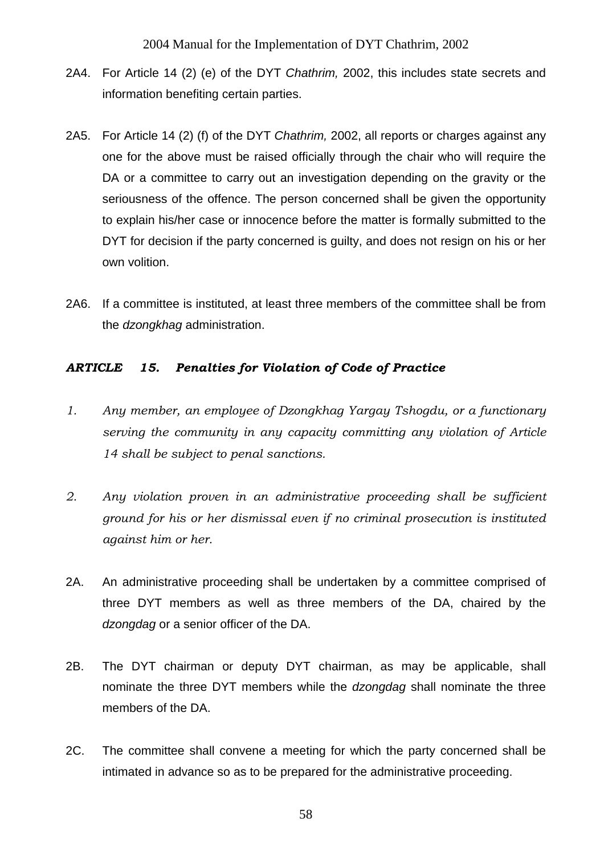- 2A4. For Article 14 (2) (e) of the DYT *Chathrim,* 2002, this includes state secrets and information benefiting certain parties.
- 2A5. For Article 14 (2) (f) of the DYT *Chathrim,* 2002, all reports or charges against any one for the above must be raised officially through the chair who will require the DA or a committee to carry out an investigation depending on the gravity or the seriousness of the offence. The person concerned shall be given the opportunity to explain his/her case or innocence before the matter is formally submitted to the DYT for decision if the party concerned is guilty, and does not resign on his or her own volition.
- 2A6. If a committee is instituted, at least three members of the committee shall be from the *dzongkhag* administration.

### *ARTICLE 15. Penalties for Violation of Code of Practice*

- *1. Any member, an employee of Dzongkhag Yargay Tshogdu, or a functionary serving the community in any capacity committing any violation of Article 14 shall be subject to penal sanctions.*
- *2. Any violation proven in an administrative proceeding shall be sufficient ground for his or her dismissal even if no criminal prosecution is instituted against him or her.*
- 2A. An administrative proceeding shall be undertaken by a committee comprised of three DYT members as well as three members of the DA, chaired by the *dzongdag* or a senior officer of the DA.
- 2B. The DYT chairman or deputy DYT chairman, as may be applicable, shall nominate the three DYT members while the *dzongdag* shall nominate the three members of the DA.
- 2C. The committee shall convene a meeting for which the party concerned shall be intimated in advance so as to be prepared for the administrative proceeding.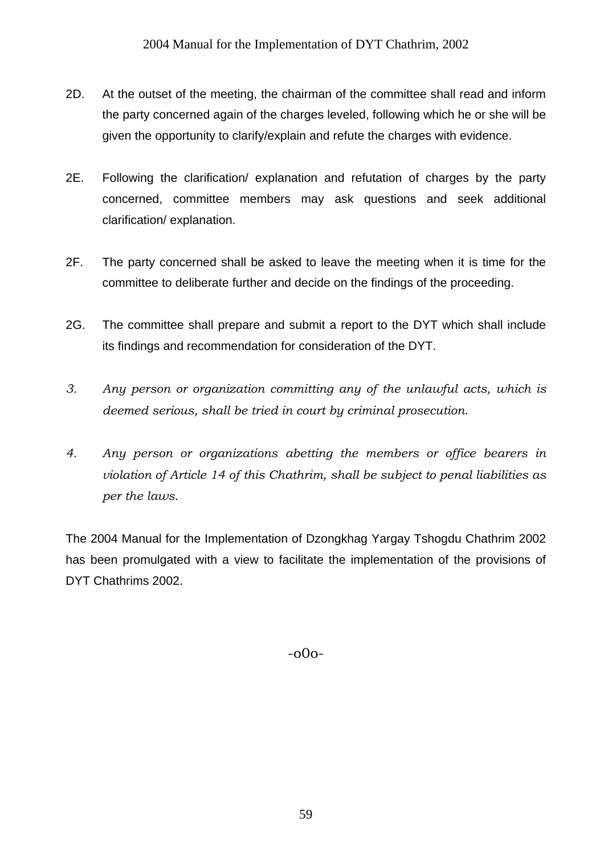- 2D. At the outset of the meeting, the chairman of the committee shall read and inform the party concerned again of the charges leveled, following which he or she will be given the opportunity to clarify/explain and refute the charges with evidence.
- 2E. Following the clarification/ explanation and refutation of charges by the party concerned, committee members may ask questions and seek additional clarification/ explanation.
- 2F. The party concerned shall be asked to leave the meeting when it is time for the committee to deliberate further and decide on the findings of the proceeding.
- 2G. The committee shall prepare and submit a report to the DYT which shall include its findings and recommendation for consideration of the DYT.
- *3. Any person or organization committing any of the unlawful acts, which is deemed serious, shall be tried in court by criminal prosecution.*
- *4. Any person or organizations abetting the members or office bearers in violation of Article 14 of this Chathrim, shall be subject to penal liabilities as per the laws.*

The 2004 Manual for the Implementation of Dzongkhag Yargay Tshogdu Chathrim 2002 has been promulgated with a view to facilitate the implementation of the provisions of DYT Chathrims 2002.

 $-00<sub>o</sub>$